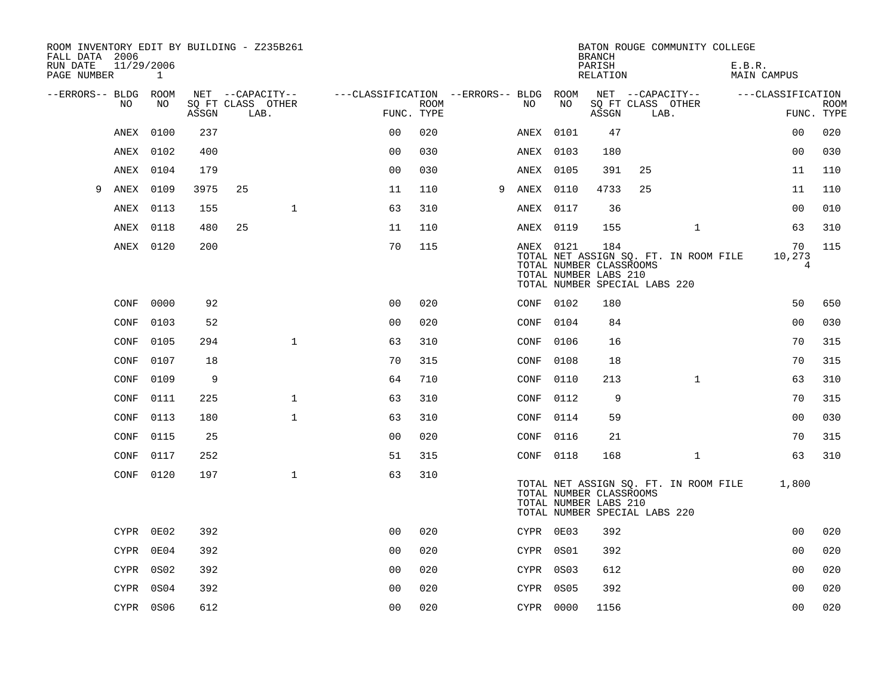| ROOM INVENTORY EDIT BY BUILDING - Z235B261<br>FALL DATA 2006 |            |              |       |                           |              |                                        |                           |   |           |      | <b>BRANCH</b>                                                                            |    | BATON ROUGE COMMUNITY COLLEGE         |        |                                |                           |
|--------------------------------------------------------------|------------|--------------|-------|---------------------------|--------------|----------------------------------------|---------------------------|---|-----------|------|------------------------------------------------------------------------------------------|----|---------------------------------------|--------|--------------------------------|---------------------------|
| RUN DATE<br>PAGE NUMBER                                      | 11/29/2006 | $\mathbf{1}$ |       |                           |              |                                        |                           |   |           |      | PARISH<br>RELATION                                                                       |    |                                       | E.B.R. | MAIN CAMPUS                    |                           |
| --ERRORS-- BLDG ROOM                                         |            |              |       | NET --CAPACITY--          |              | ---CLASSIFICATION --ERRORS-- BLDG ROOM |                           |   |           |      |                                                                                          |    | NET --CAPACITY--                      |        | ---CLASSIFICATION              |                           |
|                                                              | NO         | NO           | ASSGN | SQ FT CLASS OTHER<br>LAB. |              |                                        | <b>ROOM</b><br>FUNC. TYPE |   | NO        | NO   | ASSGN                                                                                    |    | SQ FT CLASS OTHER<br>LAB.             |        |                                | <b>ROOM</b><br>FUNC. TYPE |
|                                                              | ANEX       | 0100         | 237   |                           |              | 0 <sub>0</sub>                         | 020                       |   | ANEX 0101 |      | 47                                                                                       |    |                                       |        | 00                             | 020                       |
|                                                              | ANEX       | 0102         | 400   |                           |              | 0 <sub>0</sub>                         | 030                       |   | ANEX 0103 |      | 180                                                                                      |    |                                       |        | 00                             | 030                       |
|                                                              | ANEX       | 0104         | 179   |                           |              | 0 <sub>0</sub>                         | 030                       |   | ANEX 0105 |      | 391                                                                                      | 25 |                                       |        | 11                             | 110                       |
| 9                                                            | ANEX       | 0109         | 3975  | 25                        |              | 11                                     | 110                       | 9 | ANEX 0110 |      | 4733                                                                                     | 25 |                                       |        | 11                             | 110                       |
|                                                              | ANEX       | 0113         | 155   |                           | $\mathbf 1$  | 63                                     | 310                       |   | ANEX 0117 |      | 36                                                                                       |    |                                       |        | 0 <sub>0</sub>                 | 010                       |
|                                                              | ANEX       | 0118         | 480   | 25                        |              | 11                                     | 110                       |   | ANEX 0119 |      | 155                                                                                      |    | $\mathbf{1}$                          |        | 63                             | 310                       |
|                                                              | ANEX 0120  |              | 200   |                           |              | 70                                     | 115                       |   | ANEX 0121 |      | 184<br>TOTAL NUMBER CLASSROOMS<br>TOTAL NUMBER LABS 210<br>TOTAL NUMBER SPECIAL LABS 220 |    | TOTAL NET ASSIGN SQ. FT. IN ROOM FILE |        | 70<br>10,273<br>$\overline{4}$ | 115                       |
|                                                              | CONF       | 0000         | 92    |                           |              | 0 <sub>0</sub>                         | 020                       |   | CONF      | 0102 | 180                                                                                      |    |                                       |        | 50                             | 650                       |
|                                                              | CONF       | 0103         | 52    |                           |              | 0 <sub>0</sub>                         | 020                       |   | CONF      | 0104 | 84                                                                                       |    |                                       |        | 00                             | 030                       |
|                                                              | CONF       | 0105         | 294   |                           | $\mathbf{1}$ | 63                                     | 310                       |   | CONF      | 0106 | 16                                                                                       |    |                                       |        | 70                             | 315                       |
|                                                              | CONF       | 0107         | 18    |                           |              | 70                                     | 315                       |   | CONF      | 0108 | 18                                                                                       |    |                                       |        | 70                             | 315                       |
|                                                              | CONF       | 0109         | 9     |                           |              | 64                                     | 710                       |   | CONF      | 0110 | 213                                                                                      |    | $\mathbf{1}$                          |        | 63                             | 310                       |
|                                                              | CONF       | 0111         | 225   |                           | $\mathbf{1}$ | 63                                     | 310                       |   | CONF      | 0112 | 9                                                                                        |    |                                       |        | 70                             | 315                       |
|                                                              | CONF       | 0113         | 180   |                           | $\mathbf{1}$ | 63                                     | 310                       |   | CONF      | 0114 | 59                                                                                       |    |                                       |        | 0 <sub>0</sub>                 | 030                       |
|                                                              | CONF       | 0115         | 25    |                           |              | 0 <sub>0</sub>                         | 020                       |   | CONF      | 0116 | 21                                                                                       |    |                                       |        | 70                             | 315                       |
|                                                              | CONF       | 0117         | 252   |                           |              | 51                                     | 315                       |   | CONF 0118 |      | 168                                                                                      |    | $\mathbf{1}$                          |        | 63                             | 310                       |
|                                                              | CONF       | 0120         | 197   |                           | $\mathbf{1}$ | 63                                     | 310                       |   |           |      | TOTAL NUMBER CLASSROOMS<br>TOTAL NUMBER LABS 210<br>TOTAL NUMBER SPECIAL LABS 220        |    | TOTAL NET ASSIGN SQ. FT. IN ROOM FILE |        | 1,800                          |                           |
|                                                              | CYPR 0E02  |              | 392   |                           |              | 0 <sub>0</sub>                         | 020                       |   | CYPR 0E03 |      | 392                                                                                      |    |                                       |        | 0 <sub>0</sub>                 | 020                       |
|                                                              | CYPR 0E04  |              | 392   |                           |              | 0 <sub>0</sub>                         | 020                       |   | CYPR 0S01 |      | 392                                                                                      |    |                                       |        | 0 <sub>0</sub>                 | 020                       |
|                                                              | CYPR 0S02  |              | 392   |                           |              | 0 <sub>0</sub>                         | 020                       |   | CYPR 0S03 |      | 612                                                                                      |    |                                       |        | 0 <sub>0</sub>                 | 020                       |
|                                                              | CYPR 0S04  |              | 392   |                           |              | 0 <sub>0</sub>                         | 020                       |   | CYPR      | 0S05 | 392                                                                                      |    |                                       |        | 00                             | 020                       |
|                                                              | CYPR 0S06  |              | 612   |                           |              | 0 <sub>0</sub>                         | 020                       |   | CYPR 0000 |      | 1156                                                                                     |    |                                       |        | 0 <sub>0</sub>                 | 020                       |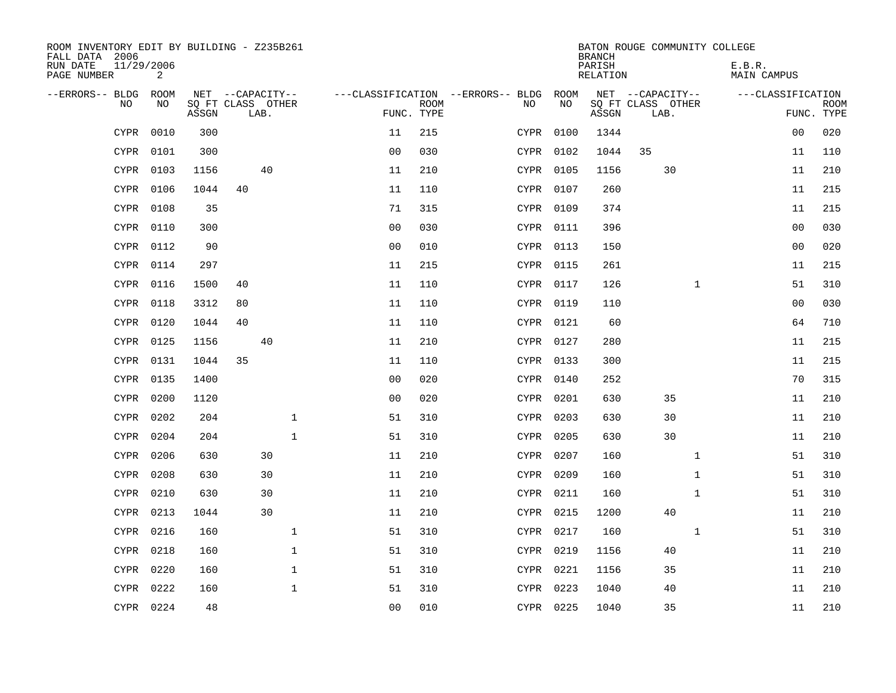| ROOM INVENTORY EDIT BY BUILDING - Z235B261<br>FALL DATA 2006 |           |       |                   |              |                   |                           |                                        |           | <b>BRANCH</b>      | BATON ROUGE COMMUNITY COLLEGE |              |                       |                           |
|--------------------------------------------------------------|-----------|-------|-------------------|--------------|-------------------|---------------------------|----------------------------------------|-----------|--------------------|-------------------------------|--------------|-----------------------|---------------------------|
| 11/29/2006<br>RUN DATE<br>PAGE NUMBER                        | 2         |       |                   |              |                   |                           |                                        |           | PARISH<br>RELATION |                               |              | E.B.R.<br>MAIN CAMPUS |                           |
| --ERRORS-- BLDG ROOM                                         |           |       | NET --CAPACITY--  |              |                   |                           | ---CLASSIFICATION --ERRORS-- BLDG ROOM |           |                    | NET --CAPACITY--              |              | ---CLASSIFICATION     |                           |
| NO.                                                          | NO.       | ASSGN | SQ FT CLASS OTHER | LAB.         |                   | <b>ROOM</b><br>FUNC. TYPE | NO.                                    | NO        | ASSGN              | SQ FT CLASS OTHER<br>LAB.     |              |                       | <b>ROOM</b><br>FUNC. TYPE |
| <b>CYPR</b>                                                  | 0010      | 300   |                   |              | 11                | 215                       |                                        | CYPR 0100 | 1344               |                               |              | 0 <sub>0</sub>        | 020                       |
| <b>CYPR</b>                                                  | 0101      | 300   |                   |              | 0 <sub>0</sub>    | 030                       |                                        | CYPR 0102 | 1044               | 35                            |              | 11                    | 110                       |
|                                                              | CYPR 0103 | 1156  |                   | 40           | 11                | 210                       |                                        | CYPR 0105 | 1156               | 30                            |              | 11                    | 210                       |
| <b>CYPR</b>                                                  | 0106      | 1044  | 40                |              | 11                | 110                       |                                        | CYPR 0107 | 260                |                               |              | 11                    | 215                       |
| CYPR                                                         | 0108      | 35    |                   |              | 71                | 315                       |                                        | CYPR 0109 | 374                |                               |              | 11                    | 215                       |
| <b>CYPR</b>                                                  | 0110      | 300   |                   |              | 0 <sub>0</sub>    | 030                       |                                        | CYPR 0111 | 396                |                               |              | 00                    | 030                       |
|                                                              | CYPR 0112 | 90    |                   |              | 0 <sub>0</sub>    | 010                       |                                        | CYPR 0113 | 150                |                               |              | 0 <sub>0</sub>        | 020                       |
|                                                              | CYPR 0114 | 297   |                   |              | 11                | 215                       |                                        | CYPR 0115 | 261                |                               |              | 11                    | 215                       |
|                                                              | CYPR 0116 | 1500  | 40                |              | 11                | 110                       |                                        | CYPR 0117 | 126                |                               | $\mathbf{1}$ | 51                    | 310                       |
|                                                              | CYPR 0118 | 3312  | 80                |              | 11                | 110                       |                                        | CYPR 0119 | 110                |                               |              | 0 <sub>0</sub>        | 030                       |
| CYPR                                                         | 0120      | 1044  | 40                |              | 11                | 110                       |                                        | CYPR 0121 | 60                 |                               |              | 64                    | 710                       |
|                                                              | CYPR 0125 | 1156  |                   | 40           | 11                | 210                       |                                        | CYPR 0127 | 280                |                               |              | 11                    | 215                       |
| CYPR                                                         | 0131      | 1044  | 35                |              | 11                | 110                       |                                        | CYPR 0133 | 300                |                               |              | 11                    | 215                       |
|                                                              | CYPR 0135 | 1400  |                   |              | 00                | 020                       |                                        | CYPR 0140 | 252                |                               |              | 70                    | 315                       |
| CYPR                                                         | 0200      | 1120  |                   |              | 0 <sub>0</sub>    | 020                       |                                        | CYPR 0201 | 630                | 35                            |              | 11                    | 210                       |
|                                                              | CYPR 0202 | 204   |                   | $\mathbf 1$  | 51                | 310                       |                                        | CYPR 0203 | 630                | 30                            |              | 11                    | 210                       |
| CYPR                                                         | 0204      | 204   |                   | $\mathbf{1}$ | 51                | 310                       |                                        | CYPR 0205 | 630                | 30                            |              | 11                    | 210                       |
| <b>CYPR</b>                                                  | 0206      | 630   |                   | 30           | 11                | 210                       |                                        | CYPR 0207 | 160                |                               | $\mathbf{1}$ | 51                    | 310                       |
| CYPR                                                         | 0208      | 630   |                   | 30           | 11                | 210                       |                                        | CYPR 0209 | 160                |                               | $\mathbf{1}$ | 51                    | 310                       |
| CYPR                                                         | 0210      | 630   |                   | 30           | 11                | 210                       |                                        | CYPR 0211 | 160                |                               | $\mathbf{1}$ | 51                    | 310                       |
| CYPR                                                         | 0213      | 1044  |                   | 30           | 11                | 210                       |                                        | CYPR 0215 | 1200               | 40                            |              | 11                    | 210                       |
| CYPR                                                         | 0216      | 160   |                   | $\mathbf{1}$ | 51                | 310                       |                                        | CYPR 0217 | 160                |                               | $\mathbf{1}$ | 51                    | 310                       |
| CYPR                                                         | 0218      | 160   |                   |              | 1<br>51           | 310                       |                                        | CYPR 0219 | 1156               | 40                            |              | 11                    | 210                       |
| CYPR                                                         | 0220      | 160   |                   |              | 1<br>51           | 310                       |                                        | CYPR 0221 | 1156               | 35                            |              | 11                    | 210                       |
| CYPR                                                         | 0222      | 160   |                   |              | $\mathbf 1$<br>51 | 310                       |                                        | CYPR 0223 | 1040               | 40                            |              | 11                    | 210                       |
|                                                              | CYPR 0224 | 48    |                   |              | 0 <sub>0</sub>    | 010                       |                                        | CYPR 0225 | 1040               | 35                            |              | 11                    | 210                       |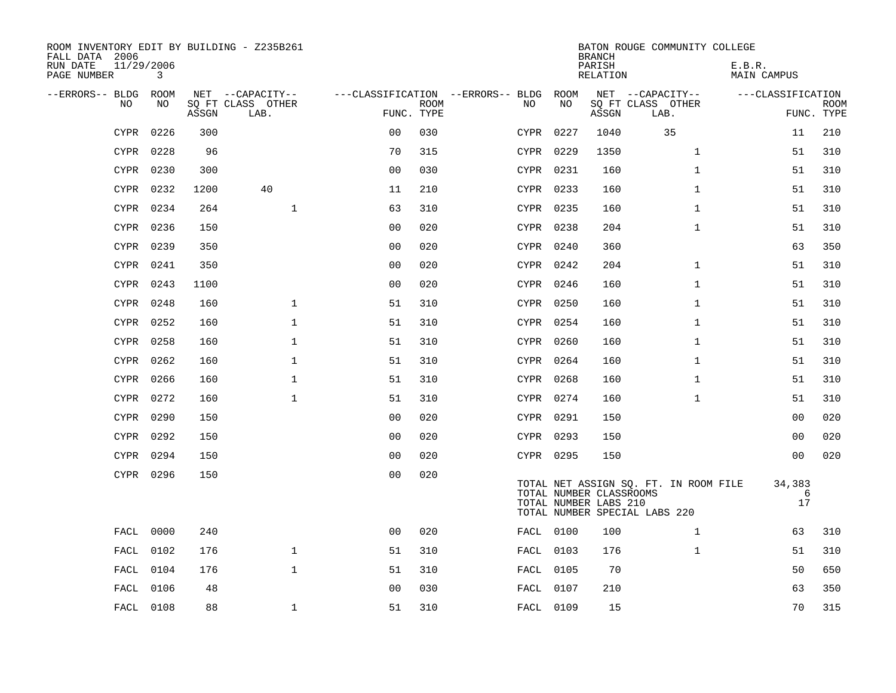| ROOM INVENTORY EDIT BY BUILDING - Z235B261<br>FALL DATA 2006 | 11/29/2006 |       |                                       |                |             |                                              |           | <b>BRANCH</b>                                    | BATON ROUGE COMMUNITY COLLEGE                                          |                              |             |
|--------------------------------------------------------------|------------|-------|---------------------------------------|----------------|-------------|----------------------------------------------|-----------|--------------------------------------------------|------------------------------------------------------------------------|------------------------------|-------------|
| RUN DATE<br>PAGE NUMBER                                      | 3          |       |                                       |                |             |                                              |           | PARISH<br>RELATION                               |                                                                        | E.B.R.<br><b>MAIN CAMPUS</b> |             |
| --ERRORS-- BLDG ROOM<br>NO.                                  | NO.        |       | NET --CAPACITY--<br>SQ FT CLASS OTHER |                | <b>ROOM</b> | ---CLASSIFICATION --ERRORS-- BLDG ROOM<br>NO | NO        |                                                  | NET --CAPACITY--<br>SQ FT CLASS OTHER                                  | ---CLASSIFICATION            | <b>ROOM</b> |
|                                                              |            | ASSGN | LAB.                                  | FUNC. TYPE     |             |                                              |           | ASSGN                                            | LAB.                                                                   |                              | FUNC. TYPE  |
| <b>CYPR</b>                                                  | 0226       | 300   |                                       | 0 <sub>0</sub> | 030         | CYPR                                         | 0227      | 1040                                             | 35                                                                     | 11                           | 210         |
| <b>CYPR</b>                                                  | 0228       | 96    |                                       | 70             | 315         |                                              | CYPR 0229 | 1350                                             | $\mathbf{1}$                                                           | 51                           | 310         |
|                                                              | CYPR 0230  | 300   |                                       | 0 <sub>0</sub> | 030         |                                              | CYPR 0231 | 160                                              | $\mathbf{1}$                                                           | 51                           | 310         |
| CYPR                                                         | 0232       | 1200  | 40                                    | 11             | 210         |                                              | CYPR 0233 | 160                                              | $\mathbf{1}$                                                           | 51                           | 310         |
| CYPR                                                         | 0234       | 264   | $\mathbf{1}$                          | 63             | 310         |                                              | CYPR 0235 | 160                                              | $\mathbf{1}$                                                           | 51                           | 310         |
| <b>CYPR</b>                                                  | 0236       | 150   |                                       | 0 <sub>0</sub> | 020         |                                              | CYPR 0238 | 204                                              | $\mathbf{1}$                                                           | 51                           | 310         |
|                                                              | CYPR 0239  | 350   |                                       | 0 <sub>0</sub> | 020         |                                              | CYPR 0240 | 360                                              |                                                                        | 63                           | 350         |
|                                                              | CYPR 0241  | 350   |                                       | 0 <sub>0</sub> | 020         |                                              | CYPR 0242 | 204                                              | $\mathbf{1}$                                                           | 51                           | 310         |
| CYPR                                                         | 0243       | 1100  |                                       | 0 <sub>0</sub> | 020         |                                              | CYPR 0246 | 160                                              | $\mathbf{1}$                                                           | 51                           | 310         |
|                                                              | CYPR 0248  | 160   | $\mathbf 1$                           | 51             | 310         |                                              | CYPR 0250 | 160                                              | $\mathbf{1}$                                                           | 51                           | 310         |
|                                                              | CYPR 0252  | 160   | $\mathbf 1$                           | 51             | 310         |                                              | CYPR 0254 | 160                                              | $\mathbf{1}$                                                           | 51                           | 310         |
|                                                              | CYPR 0258  | 160   | $\mathbf{1}$                          | 51             | 310         |                                              | CYPR 0260 | 160                                              | $\mathbf{1}$                                                           | 51                           | 310         |
| CYPR                                                         | 0262       | 160   | $\mathbf 1$                           | 51             | 310         |                                              | CYPR 0264 | 160                                              | $\mathbf{1}$                                                           | 51                           | 310         |
|                                                              | CYPR 0266  | 160   | $\mathbf{1}$                          | 51             | 310         |                                              | CYPR 0268 | 160                                              | $\mathbf{1}$                                                           | 51                           | 310         |
|                                                              | CYPR 0272  | 160   | $\mathbf{1}$                          | 51             | 310         |                                              | CYPR 0274 | 160                                              | $\mathbf{1}$                                                           | 51                           | 310         |
|                                                              | CYPR 0290  | 150   |                                       | 0 <sub>0</sub> | 020         |                                              | CYPR 0291 | 150                                              |                                                                        | 00                           | 020         |
|                                                              | CYPR 0292  | 150   |                                       | 0 <sub>0</sub> | 020         |                                              | CYPR 0293 | 150                                              |                                                                        | 0 <sub>0</sub>               | 020         |
|                                                              | CYPR 0294  | 150   |                                       | 00             | 020         |                                              | CYPR 0295 | 150                                              |                                                                        | 00                           | 020         |
|                                                              | CYPR 0296  | 150   |                                       | 0 <sub>0</sub> | 020         |                                              |           | TOTAL NUMBER CLASSROOMS<br>TOTAL NUMBER LABS 210 | TOTAL NET ASSIGN SQ. FT. IN ROOM FILE<br>TOTAL NUMBER SPECIAL LABS 220 | 34,383<br>6<br>$17\,$        |             |
| FACL                                                         | 0000       | 240   |                                       | 0 <sub>0</sub> | 020         |                                              | FACL 0100 | 100                                              | $\mathbf{1}$                                                           | 63                           | 310         |
|                                                              | FACL 0102  | 176   | $\mathbf 1$                           | 51             | 310         |                                              | FACL 0103 | 176                                              | $\mathbf{1}$                                                           | 51                           | 310         |
|                                                              | FACL 0104  | 176   | $\mathbf 1$                           | 51             | 310         |                                              | FACL 0105 | 70                                               |                                                                        | 50                           | 650         |
| FACL                                                         | 0106       | 48    |                                       | 0 <sub>0</sub> | 030         |                                              | FACL 0107 | 210                                              |                                                                        | 63                           | 350         |
|                                                              | FACL 0108  | 88    | $\mathbf 1$                           | 51             | 310         |                                              | FACL 0109 | 15                                               |                                                                        | 70                           | 315         |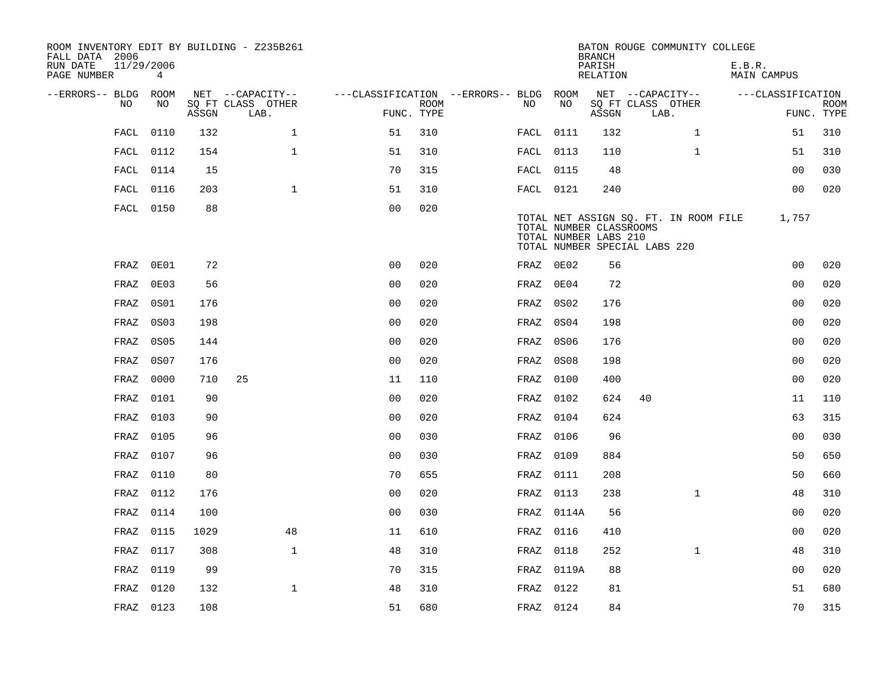| ROOM INVENTORY EDIT BY BUILDING - Z235B261<br>FALL DATA 2006 |           |       |                           |                                        |      |           |            | <b>BRANCH</b>                                    | BATON ROUGE COMMUNITY COLLEGE                                          |              |                       |                   |                           |
|--------------------------------------------------------------|-----------|-------|---------------------------|----------------------------------------|------|-----------|------------|--------------------------------------------------|------------------------------------------------------------------------|--------------|-----------------------|-------------------|---------------------------|
| 11/29/2006<br>RUN DATE<br>PAGE NUMBER                        | 4         |       |                           |                                        |      |           |            | PARISH<br>RELATION                               |                                                                        |              | E.B.R.<br>MAIN CAMPUS |                   |                           |
| --ERRORS-- BLDG ROOM                                         |           |       | NET --CAPACITY--          | ---CLASSIFICATION --ERRORS-- BLDG ROOM |      |           |            |                                                  | NET --CAPACITY--                                                       |              |                       | ---CLASSIFICATION |                           |
| NO.                                                          | NO.       | ASSGN | SQ FT CLASS OTHER<br>LAB. | FUNC. TYPE                             | ROOM | NO.       | NO         | ASSGN                                            | SQ FT CLASS OTHER<br>LAB.                                              |              |                       |                   | <b>ROOM</b><br>FUNC. TYPE |
| FACL                                                         | 0110      | 132   | $\mathbf{1}$              | 51                                     | 310  | FACL 0111 |            | 132                                              |                                                                        | $\mathbf{1}$ |                       | 51                | 310                       |
|                                                              | FACL 0112 | 154   | $\mathbf{1}$              | 51                                     | 310  | FACL 0113 |            | 110                                              |                                                                        | $\mathbf{1}$ |                       | 51                | 310                       |
|                                                              | FACL 0114 | 15    |                           | 70                                     | 315  | FACL 0115 |            | 48                                               |                                                                        |              |                       | 0 <sub>0</sub>    | 030                       |
|                                                              | FACL 0116 | 203   | $\mathbf{1}$              | 51                                     | 310  | FACL 0121 |            | 240                                              |                                                                        |              |                       | 00                | 020                       |
|                                                              | FACL 0150 | 88    |                           | 0 <sub>0</sub>                         | 020  |           |            | TOTAL NUMBER CLASSROOMS<br>TOTAL NUMBER LABS 210 | TOTAL NET ASSIGN SQ. FT. IN ROOM FILE<br>TOTAL NUMBER SPECIAL LABS 220 |              |                       | 1,757             |                           |
| FRAZ                                                         | 0E01      | 72    |                           | 0 <sub>0</sub>                         | 020  | FRAZ 0E02 |            | 56                                               |                                                                        |              |                       | 0 <sub>0</sub>    | 020                       |
| FRAZ                                                         | 0E03      | 56    |                           | 0 <sub>0</sub>                         | 020  | FRAZ      | 0E04       | 72                                               |                                                                        |              |                       | 0 <sub>0</sub>    | 020                       |
| FRAZ                                                         | 0S01      | 176   |                           | 0 <sub>0</sub>                         | 020  | FRAZ      | 0S02       | 176                                              |                                                                        |              |                       | 0 <sub>0</sub>    | 020                       |
| FRAZ                                                         | 0S03      | 198   |                           | 0 <sub>0</sub>                         | 020  | FRAZ      | 0S04       | 198                                              |                                                                        |              |                       | 0 <sub>0</sub>    | 020                       |
| FRAZ                                                         | 0S05      | 144   |                           | 0 <sub>0</sub>                         | 020  | FRAZ      | 0S06       | 176                                              |                                                                        |              |                       | 0 <sub>0</sub>    | 020                       |
| FRAZ                                                         | 0S07      | 176   |                           | 0 <sub>0</sub>                         | 020  | FRAZ      | 0S08       | 198                                              |                                                                        |              |                       | 0 <sub>0</sub>    | 020                       |
| FRAZ                                                         | 0000      | 710   | 25                        | 11                                     | 110  | FRAZ 0100 |            | 400                                              |                                                                        |              |                       | 00                | 020                       |
| FRAZ                                                         | 0101      | 90    |                           | 0 <sub>0</sub>                         | 020  | FRAZ      | 0102       | 624                                              | 40                                                                     |              |                       | 11                | 110                       |
| FRAZ                                                         | 0103      | 90    |                           | 0 <sub>0</sub>                         | 020  | FRAZ 0104 |            | 624                                              |                                                                        |              |                       | 63                | 315                       |
| FRAZ                                                         | 0105      | 96    |                           | 0 <sub>0</sub>                         | 030  | FRAZ      | 0106       | 96                                               |                                                                        |              |                       | 00                | 030                       |
| FRAZ                                                         | 0107      | 96    |                           | 0 <sub>0</sub>                         | 030  | FRAZ 0109 |            | 884                                              |                                                                        |              |                       | 50                | 650                       |
| FRAZ                                                         | 0110      | 80    |                           | 70                                     | 655  | FRAZ 0111 |            | 208                                              |                                                                        |              |                       | 50                | 660                       |
| FRAZ                                                         | 0112      | 176   |                           | 0 <sub>0</sub>                         | 020  | FRAZ 0113 |            | 238                                              |                                                                        | $\mathbf{1}$ |                       | 48                | 310                       |
| FRAZ                                                         | 0114      | 100   |                           | 0 <sub>0</sub>                         | 030  |           | FRAZ 0114A | 56                                               |                                                                        |              |                       | 0 <sub>0</sub>    | 020                       |
| FRAZ                                                         | 0115      | 1029  | 48                        | 11                                     | 610  | FRAZ 0116 |            | 410                                              |                                                                        |              |                       | 00                | 020                       |
| FRAZ                                                         | 0117      | 308   | $\mathbf{1}$              | 48                                     | 310  | FRAZ 0118 |            | 252                                              |                                                                        | $\mathbf{1}$ |                       | 48                | 310                       |
| FRAZ                                                         | 0119      | 99    |                           | 70                                     | 315  |           | FRAZ 0119A | 88                                               |                                                                        |              |                       | 0 <sub>0</sub>    | 020                       |
| FRAZ                                                         | 0120      | 132   | $\mathbf{1}$              | 48                                     | 310  | FRAZ      | 0122       | 81                                               |                                                                        |              |                       | 51                | 680                       |
|                                                              | FRAZ 0123 | 108   |                           | 51                                     | 680  | FRAZ 0124 |            | 84                                               |                                                                        |              |                       | 70                | 315                       |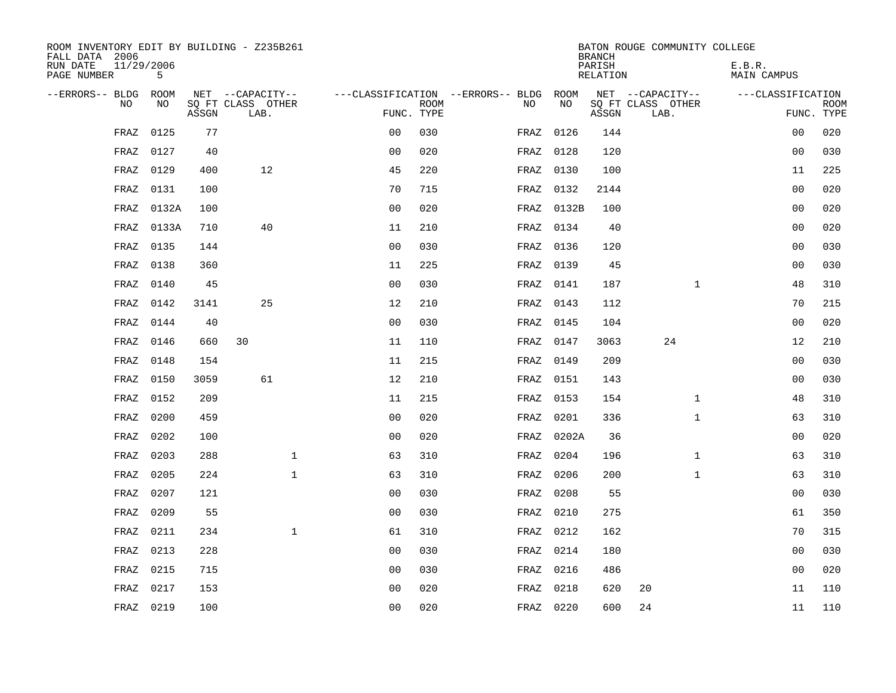| ROOM INVENTORY EDIT BY BUILDING - Z235B261<br>FALL DATA 2006 |                 |       |                           |                |             |                                        |           | <b>BRANCH</b>      | BATON ROUGE COMMUNITY COLLEGE |                       |                           |
|--------------------------------------------------------------|-----------------|-------|---------------------------|----------------|-------------|----------------------------------------|-----------|--------------------|-------------------------------|-----------------------|---------------------------|
| RUN DATE<br>PAGE NUMBER                                      | 11/29/2006<br>5 |       |                           |                |             |                                        |           | PARISH<br>RELATION |                               | E.B.R.<br>MAIN CAMPUS |                           |
| --ERRORS-- BLDG ROOM                                         |                 |       | NET --CAPACITY--          |                |             | ---CLASSIFICATION --ERRORS-- BLDG ROOM |           |                    | NET --CAPACITY--              | ---CLASSIFICATION     |                           |
| NO                                                           | NO              | ASSGN | SQ FT CLASS OTHER<br>LAB. | FUNC. TYPE     | <b>ROOM</b> | NO.                                    | NO        | ASSGN              | SQ FT CLASS OTHER<br>LAB.     |                       | <b>ROOM</b><br>FUNC. TYPE |
| FRAZ                                                         | 0125            | 77    |                           | 0 <sub>0</sub> | 030         | FRAZ                                   | 0126      | 144                |                               | 0 <sub>0</sub>        | 020                       |
| FRAZ                                                         | 0127            | 40    |                           | 0 <sub>0</sub> | 020         | FRAZ                                   | 0128      | 120                |                               | 0 <sub>0</sub>        | 030                       |
| FRAZ                                                         | 0129            | 400   | 12                        | 45             | 220         | FRAZ                                   | 0130      | 100                |                               | 11                    | 225                       |
| FRAZ                                                         | 0131            | 100   |                           | 70             | 715         | FRAZ                                   | 0132      | 2144               |                               | 0 <sub>0</sub>        | 020                       |
| FRAZ                                                         | 0132A           | 100   |                           | 0 <sub>0</sub> | 020         | FRAZ                                   | 0132B     | 100                |                               | 0 <sub>0</sub>        | 020                       |
| FRAZ                                                         | 0133A           | 710   | 40                        | 11             | 210         |                                        | FRAZ 0134 | 40                 |                               | 00                    | 020                       |
| FRAZ                                                         | 0135            | 144   |                           | 0 <sub>0</sub> | 030         | FRAZ                                   | 0136      | 120                |                               | 00                    | 030                       |
| FRAZ                                                         | 0138            | 360   |                           | 11             | 225         | FRAZ                                   | 0139      | 45                 |                               | 0 <sub>0</sub>        | 030                       |
| FRAZ                                                         | 0140            | 45    |                           | 0 <sub>0</sub> | 030         | FRAZ                                   | 0141      | 187                | $\mathbf{1}$                  | 48                    | 310                       |
| FRAZ                                                         | 0142            | 3141  | 25                        | 12             | 210         |                                        | FRAZ 0143 | 112                |                               | 70                    | 215                       |
| FRAZ                                                         | 0144            | 40    |                           | 0 <sub>0</sub> | 030         | FRAZ                                   | 0145      | 104                |                               | 0 <sub>0</sub>        | 020                       |
| FRAZ                                                         | 0146            | 660   | 30                        | 11             | 110         |                                        | FRAZ 0147 | 3063               | 24                            | 12                    | 210                       |
| FRAZ                                                         | 0148            | 154   |                           | 11             | 215         | FRAZ                                   | 0149      | 209                |                               | 0 <sub>0</sub>        | 030                       |
| FRAZ                                                         | 0150            | 3059  | 61                        | 12             | 210         | FRAZ                                   | 0151      | 143                |                               | 00                    | 030                       |
| FRAZ                                                         | 0152            | 209   |                           | 11             | 215         | FRAZ                                   | 0153      | 154                | $\mathbf{1}$                  | 48                    | 310                       |
| FRAZ                                                         | 0200            | 459   |                           | 0 <sub>0</sub> | 020         |                                        | FRAZ 0201 | 336                | $\mathbf{1}$                  | 63                    | 310                       |
| FRAZ                                                         | 0202            | 100   |                           | 0 <sub>0</sub> | 020         | FRAZ                                   | 0202A     | 36                 |                               | 0 <sub>0</sub>        | 020                       |
| FRAZ                                                         | 0203            | 288   | $\mathbf 1$               | 63             | 310         | FRAZ                                   | 0204      | 196                | $\mathbf{1}$                  | 63                    | 310                       |
| FRAZ                                                         | 0205            | 224   | $\mathbf{1}$              | 63             | 310         | FRAZ                                   | 0206      | 200                | $\mathbf{1}$                  | 63                    | 310                       |
| FRAZ                                                         | 0207            | 121   |                           | 0 <sub>0</sub> | 030         | FRAZ                                   | 0208      | 55                 |                               | 0 <sub>0</sub>        | 030                       |
| FRAZ                                                         | 0209            | 55    |                           | 0 <sub>0</sub> | 030         | FRAZ                                   | 0210      | 275                |                               | 61                    | 350                       |
| FRAZ                                                         | 0211            | 234   | $\mathbf 1$               | 61             | 310         | FRAZ                                   | 0212      | 162                |                               | 70                    | 315                       |
| FRAZ                                                         | 0213            | 228   |                           | 0 <sub>0</sub> | 030         | FRAZ                                   | 0214      | 180                |                               | 00                    | 030                       |
| FRAZ                                                         | 0215            | 715   |                           | 00             | 030         | FRAZ                                   | 0216      | 486                |                               | 00                    | 020                       |
| FRAZ                                                         | 0217            | 153   |                           | 0 <sub>0</sub> | 020         | FRAZ                                   | 0218      | 620                | 20                            | 11                    | 110                       |
|                                                              | FRAZ 0219       | 100   |                           | 0 <sub>0</sub> | 020         |                                        | FRAZ 0220 | 600                | 24                            | 11                    | 110                       |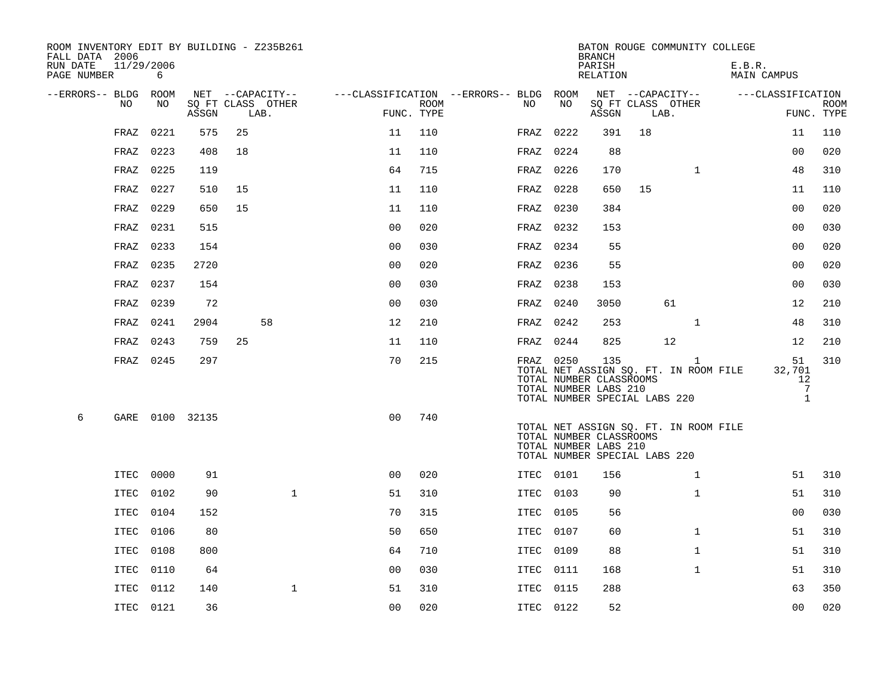| ROOM INVENTORY EDIT BY BUILDING - Z235B261<br>FALL DATA 2006 |                 |       |      |                   |                                        |                    |             |      | <b>BRANCH</b>                                                                            |      | BATON ROUGE COMMUNITY COLLEGE                         |                       |                                                       |             |
|--------------------------------------------------------------|-----------------|-------|------|-------------------|----------------------------------------|--------------------|-------------|------|------------------------------------------------------------------------------------------|------|-------------------------------------------------------|-----------------------|-------------------------------------------------------|-------------|
| RUN DATE<br>11/29/2006<br>PAGE NUMBER                        | 6               |       |      |                   |                                        |                    |             |      | PARISH<br>RELATION                                                                       |      |                                                       | E.B.R.<br>MAIN CAMPUS |                                                       |             |
| --ERRORS-- BLDG ROOM                                         |                 |       |      | NET --CAPACITY--  | ---CLASSIFICATION --ERRORS-- BLDG ROOM |                    |             |      |                                                                                          |      | NET --CAPACITY--                                      | ---CLASSIFICATION     |                                                       |             |
| NO.                                                          | NO              | ASSGN | LAB. | SO FT CLASS OTHER |                                        | ROOM<br>FUNC. TYPE | NO          | NO   | ASSGN                                                                                    | LAB. | SQ FT CLASS OTHER                                     |                       | FUNC. TYPE                                            | <b>ROOM</b> |
| FRAZ                                                         | 0221            | 575   | 25   |                   | 11                                     | 110                | FRAZ        | 0222 | 391                                                                                      | 18   |                                                       |                       | 11                                                    | 110         |
| FRAZ                                                         | 0223            | 408   | 18   |                   | 11                                     | 110                | FRAZ        | 0224 | 88                                                                                       |      |                                                       |                       | 00                                                    | 020         |
| FRAZ                                                         | 0225            | 119   |      |                   | 64                                     | 715                | FRAZ 0226   |      | 170                                                                                      |      | $\mathbf{1}$                                          |                       | 48                                                    | 310         |
| FRAZ                                                         | 0227            | 510   | 15   |                   | 11                                     | 110                | FRAZ        | 0228 | 650                                                                                      | 15   |                                                       |                       | 11                                                    | 110         |
| FRAZ                                                         | 0229            | 650   | 15   |                   | 11                                     | 110                | FRAZ 0230   |      | 384                                                                                      |      |                                                       |                       | 00                                                    | 020         |
| FRAZ                                                         | 0231            | 515   |      |                   | 0 <sup>0</sup>                         | 020                | FRAZ 0232   |      | 153                                                                                      |      |                                                       |                       | 0 <sub>0</sub>                                        | 030         |
| FRAZ                                                         | 0233            | 154   |      |                   | 0 <sub>0</sub>                         | 030                | FRAZ 0234   |      | 55                                                                                       |      |                                                       |                       | 0 <sub>0</sub>                                        | 020         |
| FRAZ                                                         | 0235            | 2720  |      |                   | 0 <sub>0</sub>                         | 020                | FRAZ        | 0236 | 55                                                                                       |      |                                                       |                       | 0 <sub>0</sub>                                        | 020         |
| FRAZ                                                         | 0237            | 154   |      |                   | 0 <sub>0</sub>                         | 030                | FRAZ        | 0238 | 153                                                                                      |      |                                                       |                       | 0 <sub>0</sub>                                        | 030         |
| FRAZ                                                         | 0239            | 72    |      |                   | 0 <sub>0</sub>                         | 030                | FRAZ        | 0240 | 3050                                                                                     |      | 61                                                    |                       | 12                                                    | 210         |
| FRAZ                                                         | 0241            | 2904  |      | 58                | 12                                     | 210                | FRAZ 0242   |      | 253                                                                                      |      | $\mathbf{1}$                                          |                       | 48                                                    | 310         |
| FRAZ                                                         | 0243            | 759   | 25   |                   | 11                                     | 110                | FRAZ 0244   |      | 825                                                                                      |      | 12                                                    |                       | 12                                                    | 210         |
| FRAZ                                                         | 0245            | 297   |      |                   | 70                                     | 215                | FRAZ 0250   |      | 135<br>TOTAL NUMBER CLASSROOMS<br>TOTAL NUMBER LABS 210<br>TOTAL NUMBER SPECIAL LABS 220 |      | $\mathbf{1}$<br>TOTAL NET ASSIGN SQ. FT. IN ROOM FILE |                       | 51<br>32,701<br>12<br>$7\overline{ }$<br>$\mathbf{1}$ | 310         |
| 6                                                            | GARE 0100 32135 |       |      |                   | 0 <sub>0</sub>                         | 740                |             |      | TOTAL NUMBER CLASSROOMS<br>TOTAL NUMBER LABS 210<br>TOTAL NUMBER SPECIAL LABS 220        |      | TOTAL NET ASSIGN SQ. FT. IN ROOM FILE                 |                       |                                                       |             |
| ITEC                                                         | 0000            | 91    |      |                   | 0 <sub>0</sub>                         | 020                | ITEC 0101   |      | 156                                                                                      |      | $\mathbf{1}$                                          |                       | 51                                                    | 310         |
| ITEC                                                         | 0102            | 90    |      | $\mathbf{1}$      | 51                                     | 310                | ITEC 0103   |      | 90                                                                                       |      | $\mathbf{1}$                                          |                       | 51                                                    | 310         |
| <b>ITEC</b>                                                  | 0104            | 152   |      |                   | 70                                     | 315                | ITEC 0105   |      | 56                                                                                       |      |                                                       |                       | 0 <sub>0</sub>                                        | 030         |
| <b>ITEC</b>                                                  | 0106            | 80    |      |                   | 50                                     | 650                | ITEC        | 0107 | 60                                                                                       |      | $\mathbf{1}$                                          |                       | 51                                                    | 310         |
| <b>ITEC</b>                                                  | 0108            | 800   |      |                   | 64                                     | 710                | ITEC 0109   |      | 88                                                                                       |      | $\mathbf{1}$                                          |                       | 51                                                    | 310         |
| <b>ITEC</b>                                                  | 0110            | 64    |      |                   | 0 <sub>0</sub>                         | 030                | <b>ITEC</b> | 0111 | 168                                                                                      |      | $\mathbf{1}$                                          |                       | 51                                                    | 310         |
| ITEC                                                         | 0112            | 140   |      | $\mathbf{1}$      | 51                                     | 310                | ITEC        | 0115 | 288                                                                                      |      |                                                       |                       | 63                                                    | 350         |
|                                                              | ITEC 0121       | 36    |      |                   | 00                                     | 020                | ITEC 0122   |      | 52                                                                                       |      |                                                       |                       | 00                                                    | 020         |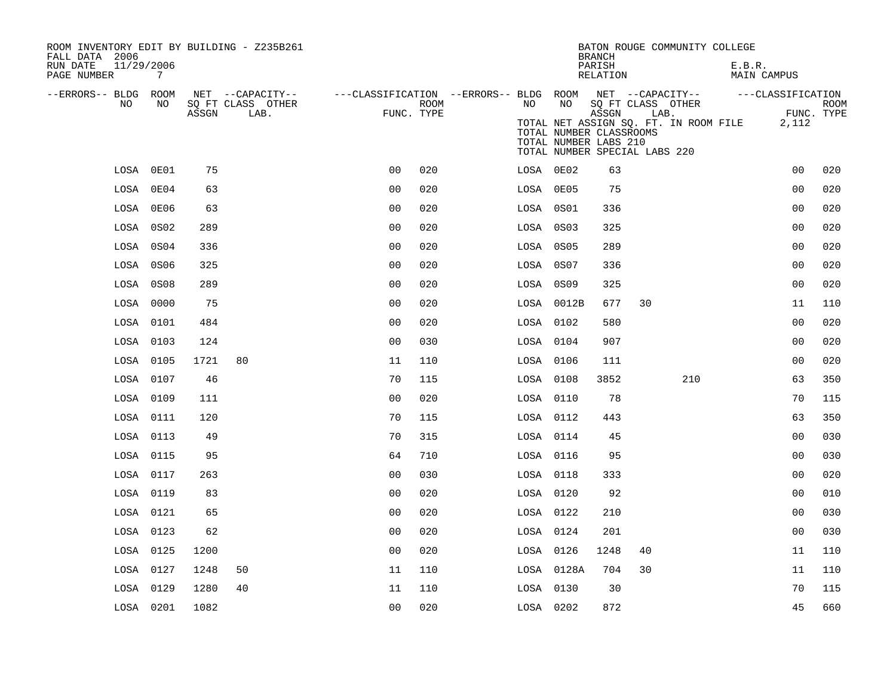| ROOM INVENTORY EDIT BY BUILDING - Z235B261<br>FALL DATA 2006 |           |       |                                                                                                                     |                |      |           |                                                  | <b>BRANCH</b>      |                                       | BATON ROUGE COMMUNITY COLLEGE         |                       |                     |             |
|--------------------------------------------------------------|-----------|-------|---------------------------------------------------------------------------------------------------------------------|----------------|------|-----------|--------------------------------------------------|--------------------|---------------------------------------|---------------------------------------|-----------------------|---------------------|-------------|
| RUN DATE<br>11/29/2006<br>PAGE NUMBER                        | 7         |       |                                                                                                                     |                |      |           |                                                  | PARISH<br>RELATION |                                       |                                       | E.B.R.<br>MAIN CAMPUS |                     |             |
| --ERRORS-- BLDG ROOM<br>NO.                                  | NO        |       | NET --CAPACITY-- - ---CLASSIFICATION --ERRORS-- BLDG ROOM NET --CAPACITY-- - ---CLASSIFICATION<br>SQ FT CLASS OTHER |                | ROOM | NO        | NO                                               |                    |                                       | SQ FT CLASS OTHER                     |                       |                     | <b>ROOM</b> |
|                                                              |           | ASSGN | LAB.                                                                                                                | FUNC. TYPE     |      |           | TOTAL NUMBER CLASSROOMS<br>TOTAL NUMBER LABS 210 | ASSGN              | LAB.<br>TOTAL NUMBER SPECIAL LABS 220 | TOTAL NET ASSIGN SQ. FT. IN ROOM FILE |                       | FUNC. TYPE<br>2,112 |             |
|                                                              | LOSA 0E01 | 75    |                                                                                                                     | 0 <sub>0</sub> | 020  | LOSA 0E02 |                                                  | 63                 |                                       |                                       |                       | 0 <sub>0</sub>      | 020         |
|                                                              | LOSA 0E04 | 63    |                                                                                                                     | 0 <sub>0</sub> | 020  | LOSA 0E05 |                                                  | 75                 |                                       |                                       |                       | 0 <sub>0</sub>      | 020         |
|                                                              | LOSA 0E06 | 63    |                                                                                                                     | 00             | 020  | LOSA 0S01 |                                                  | 336                |                                       |                                       |                       | 0 <sub>0</sub>      | 020         |
|                                                              | LOSA 0S02 | 289   |                                                                                                                     | 0 <sub>0</sub> | 020  | LOSA 0S03 |                                                  | 325                |                                       |                                       |                       | 0 <sub>0</sub>      | 020         |
|                                                              | LOSA 0S04 | 336   |                                                                                                                     | 0 <sub>0</sub> | 020  | LOSA 0S05 |                                                  | 289                |                                       |                                       |                       | 0 <sub>0</sub>      | 020         |
|                                                              | LOSA 0S06 | 325   |                                                                                                                     | 0 <sub>0</sub> | 020  | LOSA 0S07 |                                                  | 336                |                                       |                                       |                       | 0 <sub>0</sub>      | 020         |
|                                                              | LOSA 0S08 | 289   |                                                                                                                     | 0 <sub>0</sub> | 020  | LOSA 0S09 |                                                  | 325                |                                       |                                       |                       | 0 <sub>0</sub>      | 020         |
|                                                              | LOSA 0000 | 75    |                                                                                                                     | 0 <sub>0</sub> | 020  |           | LOSA 0012B                                       | 677                | 30                                    |                                       |                       | 11                  | 110         |
|                                                              | LOSA 0101 | 484   |                                                                                                                     | 0 <sub>0</sub> | 020  | LOSA 0102 |                                                  | 580                |                                       |                                       |                       | 0 <sub>0</sub>      | 020         |
|                                                              | LOSA 0103 | 124   |                                                                                                                     | 0 <sub>0</sub> | 030  | LOSA 0104 |                                                  | 907                |                                       |                                       |                       | 0 <sub>0</sub>      | 020         |
|                                                              | LOSA 0105 | 1721  | 80                                                                                                                  | 11             | 110  | LOSA 0106 |                                                  | 111                |                                       |                                       |                       | 00                  | 020         |
|                                                              | LOSA 0107 | 46    |                                                                                                                     | 70             | 115  | LOSA 0108 |                                                  | 3852               |                                       | 210                                   |                       | 63                  | 350         |
|                                                              | LOSA 0109 | 111   |                                                                                                                     | 0 <sub>0</sub> | 020  | LOSA 0110 |                                                  | 78                 |                                       |                                       |                       | 70                  | 115         |
|                                                              | LOSA 0111 | 120   |                                                                                                                     | 70             | 115  | LOSA 0112 |                                                  | 443                |                                       |                                       |                       | 63                  | 350         |
|                                                              | LOSA 0113 | 49    |                                                                                                                     | 70             | 315  | LOSA 0114 |                                                  | 45                 |                                       |                                       |                       | 0 <sub>0</sub>      | 030         |
|                                                              | LOSA 0115 | 95    |                                                                                                                     | 64             | 710  | LOSA 0116 |                                                  | 95                 |                                       |                                       |                       | 0 <sub>0</sub>      | 030         |
|                                                              | LOSA 0117 | 263   |                                                                                                                     | 0 <sub>0</sub> | 030  | LOSA 0118 |                                                  | 333                |                                       |                                       |                       | 00                  | 020         |
|                                                              | LOSA 0119 | 83    |                                                                                                                     | 00             | 020  | LOSA 0120 |                                                  | 92                 |                                       |                                       |                       | 0 <sub>0</sub>      | 010         |
|                                                              | LOSA 0121 | 65    |                                                                                                                     | 0 <sub>0</sub> | 020  | LOSA 0122 |                                                  | 210                |                                       |                                       |                       | 0 <sub>0</sub>      | 030         |
|                                                              | LOSA 0123 | 62    |                                                                                                                     | 0 <sub>0</sub> | 020  | LOSA 0124 |                                                  | 201                |                                       |                                       |                       | 0 <sub>0</sub>      | 030         |
|                                                              | LOSA 0125 | 1200  |                                                                                                                     | 0 <sub>0</sub> | 020  | LOSA 0126 |                                                  | 1248               | 40                                    |                                       |                       | 11                  | 110         |
|                                                              | LOSA 0127 | 1248  | 50                                                                                                                  | 11             | 110  |           | LOSA 0128A                                       | 704                | 30                                    |                                       |                       | 11                  | 110         |
|                                                              | LOSA 0129 | 1280  | 40                                                                                                                  | 11             | 110  | LOSA 0130 |                                                  | 30                 |                                       |                                       |                       | 70                  | 115         |
|                                                              | LOSA 0201 | 1082  |                                                                                                                     | 0 <sub>0</sub> | 020  | LOSA 0202 |                                                  | 872                |                                       |                                       |                       | 45                  | 660         |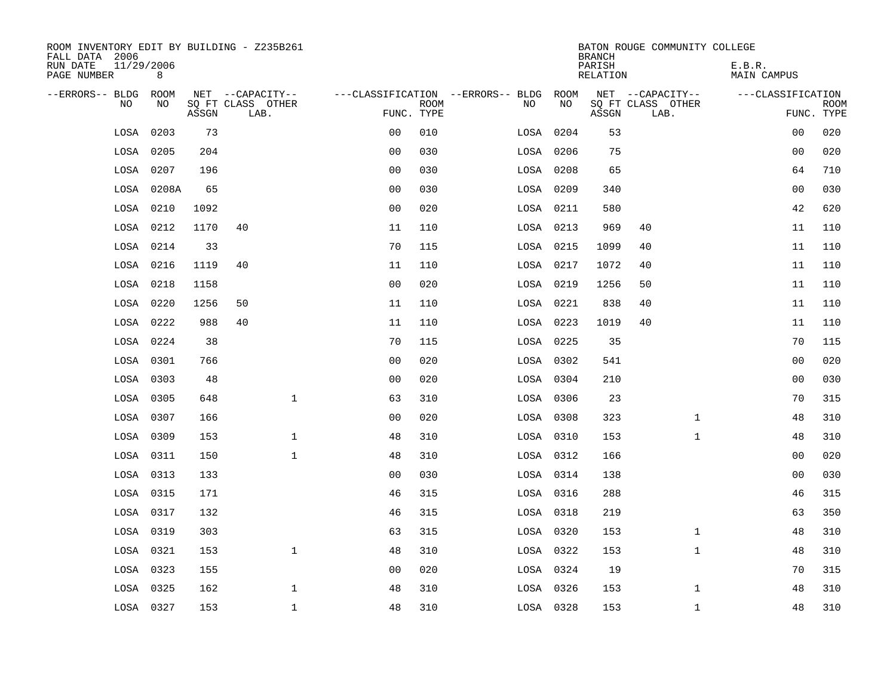| ROOM INVENTORY EDIT BY BUILDING - Z235B261<br>FALL DATA 2006 |           |       |                           |                |             |                                        |           | <b>BRANCH</b>      | BATON ROUGE COMMUNITY COLLEGE |                       |             |
|--------------------------------------------------------------|-----------|-------|---------------------------|----------------|-------------|----------------------------------------|-----------|--------------------|-------------------------------|-----------------------|-------------|
| 11/29/2006<br>RUN DATE<br>PAGE NUMBER                        | 8         |       |                           |                |             |                                        |           | PARISH<br>RELATION |                               | E.B.R.<br>MAIN CAMPUS |             |
| --ERRORS-- BLDG ROOM                                         |           |       | NET --CAPACITY--          |                |             | ---CLASSIFICATION --ERRORS-- BLDG ROOM |           |                    | NET --CAPACITY--              | ---CLASSIFICATION     |             |
| NO                                                           | NO        | ASSGN | SQ FT CLASS OTHER<br>LAB. | FUNC. TYPE     | <b>ROOM</b> | NO                                     | NO        | ASSGN              | SQ FT CLASS OTHER<br>LAB.     | FUNC. TYPE            | <b>ROOM</b> |
| LOSA                                                         | 0203      | 73    |                           | 0 <sub>0</sub> | 010         |                                        | LOSA 0204 | 53                 |                               | 0 <sub>0</sub>        | 020         |
| LOSA                                                         | 0205      | 204   |                           | 0 <sub>0</sub> | 030         |                                        | LOSA 0206 | 75                 |                               | 00                    | 020         |
| LOSA                                                         | 0207      | 196   |                           | 0 <sub>0</sub> | 030         |                                        | LOSA 0208 | 65                 |                               | 64                    | 710         |
| LOSA                                                         | 0208A     | 65    |                           | 0 <sub>0</sub> | 030         |                                        | LOSA 0209 | 340                |                               | 0 <sub>0</sub>        | 030         |
| LOSA                                                         | 0210      | 1092  |                           | 00             | 020         |                                        | LOSA 0211 | 580                |                               | 42                    | 620         |
| LOSA                                                         | 0212      | 1170  | 40                        | 11             | 110         |                                        | LOSA 0213 | 969                | 40                            | 11                    | 110         |
| LOSA                                                         | 0214      | 33    |                           | 70             | 115         |                                        | LOSA 0215 | 1099               | 40                            | 11                    | 110         |
| LOSA                                                         | 0216      | 1119  | 40                        | 11             | 110         |                                        | LOSA 0217 | 1072               | 40                            | 11                    | 110         |
| LOSA                                                         | 0218      | 1158  |                           | 0 <sub>0</sub> | 020         |                                        | LOSA 0219 | 1256               | 50                            | 11                    | 110         |
|                                                              | LOSA 0220 | 1256  | 50                        | 11             | 110         |                                        | LOSA 0221 | 838                | 40                            | 11                    | 110         |
| LOSA                                                         | 0222      | 988   | 40                        | 11             | 110         |                                        | LOSA 0223 | 1019               | 40                            | 11                    | 110         |
|                                                              | LOSA 0224 | 38    |                           | 70             | 115         |                                        | LOSA 0225 | 35                 |                               | 70                    | 115         |
| LOSA                                                         | 0301      | 766   |                           | 0 <sub>0</sub> | 020         |                                        | LOSA 0302 | 541                |                               | 00                    | 020         |
|                                                              | LOSA 0303 | 48    |                           | 0 <sub>0</sub> | 020         |                                        | LOSA 0304 | 210                |                               | 00                    | 030         |
| LOSA                                                         | 0305      | 648   | $\mathbf{1}$              | 63             | 310         |                                        | LOSA 0306 | 23                 |                               | 70                    | 315         |
| LOSA                                                         | 0307      | 166   |                           | 0 <sub>0</sub> | 020         |                                        | LOSA 0308 | 323                | $\mathbf{1}$                  | 48                    | 310         |
| LOSA                                                         | 0309      | 153   | $\mathbf{1}$              | 48             | 310         |                                        | LOSA 0310 | 153                | $\mathbf{1}$                  | 48                    | 310         |
| LOSA                                                         | 0311      | 150   | $\mathbf{1}$              | 48             | 310         |                                        | LOSA 0312 | 166                |                               | 00                    | 020         |
| LOSA                                                         | 0313      | 133   |                           | 0 <sub>0</sub> | 030         |                                        | LOSA 0314 | 138                |                               | 0 <sub>0</sub>        | 030         |
| LOSA                                                         | 0315      | 171   |                           | 46             | 315         |                                        | LOSA 0316 | 288                |                               | 46                    | 315         |
| LOSA                                                         | 0317      | 132   |                           | 46             | 315         |                                        | LOSA 0318 | 219                |                               | 63                    | 350         |
| LOSA                                                         | 0319      | 303   |                           | 63             | 315         |                                        | LOSA 0320 | 153                | $\mathbf{1}$                  | 48                    | 310         |
| LOSA                                                         | 0321      | 153   | $\mathbf{1}$              | 48             | 310         |                                        | LOSA 0322 | 153                | $\mathbf{1}$                  | 48                    | 310         |
| LOSA                                                         | 0323      | 155   |                           | 0 <sub>0</sub> | 020         |                                        | LOSA 0324 | 19                 |                               | 70                    | 315         |
| LOSA                                                         | 0325      | 162   | $\mathbf{1}$              | 48             | 310         |                                        | LOSA 0326 | 153                | $\mathbf{1}$                  | 48                    | 310         |
|                                                              | LOSA 0327 | 153   | $\mathbf{1}$              | 48             | 310         |                                        | LOSA 0328 | 153                | $\mathbf{1}$                  | 48                    | 310         |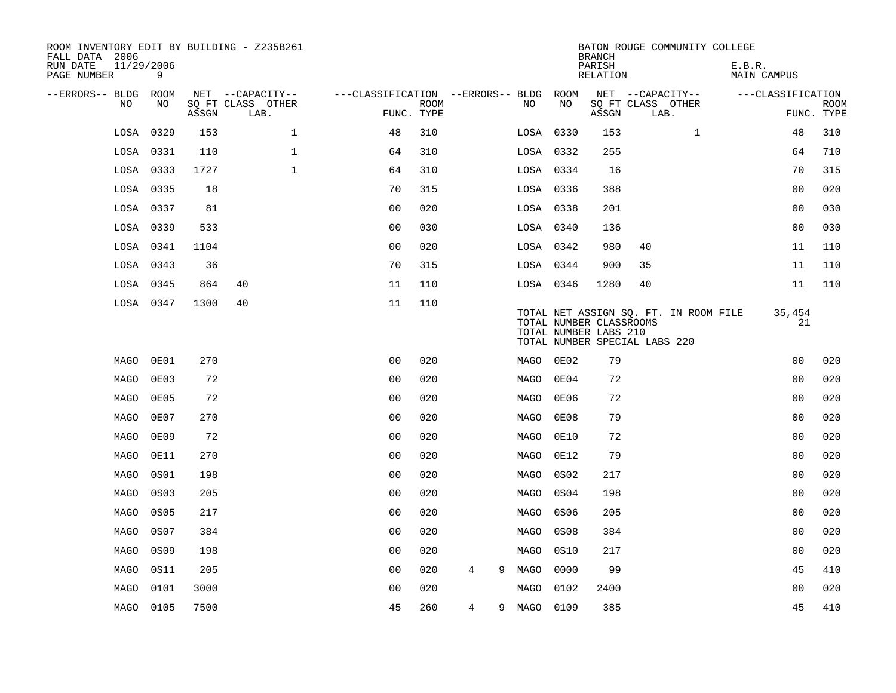| ROOM INVENTORY EDIT BY BUILDING - Z235B261<br>FALL DATA 2006 |           |       |                           |                                        |             |                     |           |           | <b>BRANCH</b>                                    | BATON ROUGE COMMUNITY COLLEGE                                          |                       |                           |
|--------------------------------------------------------------|-----------|-------|---------------------------|----------------------------------------|-------------|---------------------|-----------|-----------|--------------------------------------------------|------------------------------------------------------------------------|-----------------------|---------------------------|
| 11/29/2006<br>RUN DATE<br>PAGE NUMBER                        | 9         |       |                           |                                        |             |                     |           |           | PARISH<br>RELATION                               |                                                                        | E.B.R.<br>MAIN CAMPUS |                           |
| --ERRORS-- BLDG ROOM                                         |           |       | NET --CAPACITY--          | ---CLASSIFICATION --ERRORS-- BLDG ROOM |             |                     |           |           |                                                  | NET --CAPACITY--                                                       | ---CLASSIFICATION     |                           |
| NO                                                           | NO        | ASSGN | SQ FT CLASS OTHER<br>LAB. | FUNC. TYPE                             | <b>ROOM</b> |                     | NO        | NO        | ASSGN                                            | SQ FT CLASS OTHER<br>LAB.                                              |                       | <b>ROOM</b><br>FUNC. TYPE |
| LOSA                                                         | 0329      | 153   | $\mathbf 1$               | 48                                     | 310         |                     |           | LOSA 0330 | 153                                              | $\mathbf{1}$                                                           | 48                    | 310                       |
| LOSA 0331                                                    |           | 110   | $\mathbf{1}$              | 64                                     | 310         |                     |           | LOSA 0332 | 255                                              |                                                                        | 64                    | 710                       |
|                                                              | LOSA 0333 | 1727  | $\mathbf{1}$              | 64                                     | 310         |                     |           | LOSA 0334 | 16                                               |                                                                        | 70                    | 315                       |
| LOSA 0335                                                    |           | 18    |                           | 70                                     | 315         |                     |           | LOSA 0336 | 388                                              |                                                                        | 00                    | 020                       |
| LOSA 0337                                                    |           | 81    |                           | 00                                     | 020         |                     |           | LOSA 0338 | 201                                              |                                                                        | 00                    | 030                       |
| LOSA                                                         | 0339      | 533   |                           | 0 <sub>0</sub>                         | 030         |                     |           | LOSA 0340 | 136                                              |                                                                        | 0 <sub>0</sub>        | 030                       |
|                                                              | LOSA 0341 | 1104  |                           | 0 <sub>0</sub>                         | 020         |                     |           | LOSA 0342 | 980                                              | 40                                                                     | 11                    | 110                       |
| LOSA 0343                                                    |           | 36    |                           | 70                                     | 315         |                     |           | LOSA 0344 | 900                                              | 35                                                                     | 11                    | 110                       |
| LOSA                                                         | 0345      | 864   | 40                        | 11                                     | 110         |                     |           | LOSA 0346 | 1280                                             | 40                                                                     | 11                    | 110                       |
|                                                              | LOSA 0347 | 1300  | 40                        | 11                                     | 110         |                     |           |           | TOTAL NUMBER CLASSROOMS<br>TOTAL NUMBER LABS 210 | TOTAL NET ASSIGN SQ. FT. IN ROOM FILE<br>TOTAL NUMBER SPECIAL LABS 220 | 35,454<br>21          |                           |
| MAGO                                                         | 0E01      | 270   |                           | 0 <sub>0</sub>                         | 020         |                     | MAGO      | 0E02      | 79                                               |                                                                        | 0 <sub>0</sub>        | 020                       |
| MAGO                                                         | 0E03      | 72    |                           | 0 <sub>0</sub>                         | 020         |                     | MAGO      | 0E04      | 72                                               |                                                                        | 00                    | 020                       |
| MAGO                                                         | 0E05      | 72    |                           | 0 <sub>0</sub>                         | 020         |                     | MAGO      | 0E06      | 72                                               |                                                                        | 0 <sub>0</sub>        | 020                       |
| MAGO                                                         | 0E07      | 270   |                           | 0 <sub>0</sub>                         | 020         |                     | MAGO      | 0E08      | 79                                               |                                                                        | 0 <sub>0</sub>        | 020                       |
| MAGO                                                         | 0E09      | 72    |                           | 0 <sub>0</sub>                         | 020         |                     | MAGO      | 0E10      | 72                                               |                                                                        | 00                    | 020                       |
| MAGO                                                         | 0E11      | 270   |                           | 0 <sub>0</sub>                         | 020         |                     | MAGO      | 0E12      | 79                                               |                                                                        | 00                    | 020                       |
| MAGO                                                         | 0S01      | 198   |                           | 0 <sub>0</sub>                         | 020         |                     | MAGO      | 0S02      | 217                                              |                                                                        | 0 <sub>0</sub>        | 020                       |
| MAGO                                                         | 0S03      | 205   |                           | 0 <sub>0</sub>                         | 020         |                     | MAGO      | 0S04      | 198                                              |                                                                        | 0 <sub>0</sub>        | 020                       |
| MAGO                                                         | 0S05      | 217   |                           | 0 <sub>0</sub>                         | 020         |                     | MAGO      | 0S06      | 205                                              |                                                                        | 00                    | 020                       |
| MAGO                                                         | 0S07      | 384   |                           | 00                                     | 020         |                     | MAGO      | 0S08      | 384                                              |                                                                        | 0 <sub>0</sub>        | 020                       |
| MAGO                                                         | 0S09      | 198   |                           | 0 <sub>0</sub>                         | 020         |                     | MAGO      | 0S10      | 217                                              |                                                                        | 0 <sub>0</sub>        | 020                       |
| MAGO                                                         | 0S11      | 205   |                           | 0 <sub>0</sub>                         | 020         | 4<br>9              | MAGO      | 0000      | 99                                               |                                                                        | 45                    | 410                       |
| MAGO                                                         | 0101      | 3000  |                           | 0 <sub>0</sub>                         | 020         |                     | MAGO      | 0102      | 2400                                             |                                                                        | 0 <sub>0</sub>        | 020                       |
| MAGO 0105                                                    |           | 7500  |                           | 45                                     | 260         | $\overline{4}$<br>9 | MAGO 0109 |           | 385                                              |                                                                        | 45                    | 410                       |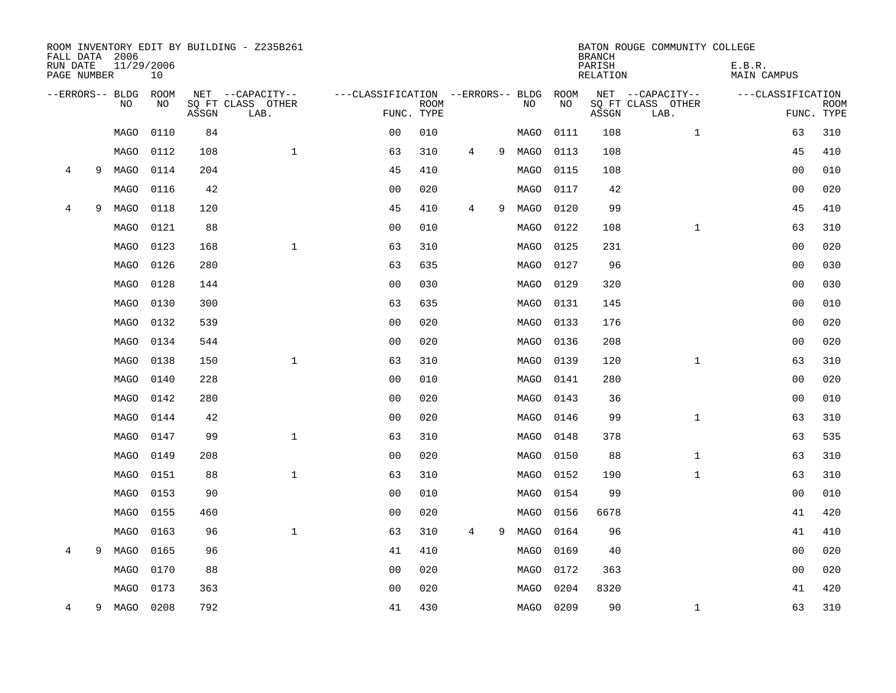| FALL DATA 2006          |   |                      |      |       | ROOM INVENTORY EDIT BY BUILDING - Z235B261 |                                   |             |                |   |      |      | <b>BRANCH</b>      | BATON ROUGE COMMUNITY COLLEGE |                       |                           |
|-------------------------|---|----------------------|------|-------|--------------------------------------------|-----------------------------------|-------------|----------------|---|------|------|--------------------|-------------------------------|-----------------------|---------------------------|
| RUN DATE<br>PAGE NUMBER |   | 11/29/2006           | 10   |       |                                            |                                   |             |                |   |      |      | PARISH<br>RELATION |                               | E.B.R.<br>MAIN CAMPUS |                           |
|                         |   | --ERRORS-- BLDG ROOM |      |       | NET --CAPACITY--                           | ---CLASSIFICATION --ERRORS-- BLDG |             |                |   |      | ROOM |                    | NET --CAPACITY--              | ---CLASSIFICATION     |                           |
|                         |   | <b>NO</b>            | NO.  | ASSGN | SQ FT CLASS OTHER<br>LAB.                  | FUNC. TYPE                        | <b>ROOM</b> |                |   | NO.  | NO   | ASSGN              | SQ FT CLASS OTHER<br>LAB.     |                       | <b>ROOM</b><br>FUNC. TYPE |
|                         |   | MAGO                 | 0110 | 84    |                                            | 0 <sub>0</sub>                    | 010         |                |   | MAGO | 0111 | 108                | $\mathbf{1}$                  | 63                    | 310                       |
|                         |   | <b>MAGO</b>          | 0112 | 108   | $\mathbf{1}$                               | 63                                | 310         | $\overline{4}$ | 9 | MAGO | 0113 | 108                |                               | 45                    | 410                       |
| $\overline{4}$          | 9 | MAGO                 | 0114 | 204   |                                            | 45                                | 410         |                |   | MAGO | 0115 | 108                |                               | 0 <sub>0</sub>        | 010                       |
|                         |   | MAGO                 | 0116 | 42    |                                            | 0 <sub>0</sub>                    | 020         |                |   | MAGO | 0117 | 42                 |                               | 0 <sub>0</sub>        | 020                       |
| 4                       | 9 | <b>MAGO</b>          | 0118 | 120   |                                            | 45                                | 410         | 4              | 9 | MAGO | 0120 | 99                 |                               | 45                    | 410                       |
|                         |   | MAGO                 | 0121 | 88    |                                            | 0 <sub>0</sub>                    | 010         |                |   | MAGO | 0122 | 108                | $\mathbf{1}$                  | 63                    | 310                       |
|                         |   | MAGO                 | 0123 | 168   | $\mathbf{1}$                               | 63                                | 310         |                |   | MAGO | 0125 | 231                |                               | 0 <sub>0</sub>        | 020                       |
|                         |   | MAGO                 | 0126 | 280   |                                            | 63                                | 635         |                |   | MAGO | 0127 | 96                 |                               | 0 <sub>0</sub>        | 030                       |
|                         |   | MAGO                 | 0128 | 144   |                                            | 0 <sub>0</sub>                    | 030         |                |   | MAGO | 0129 | 320                |                               | 0 <sub>0</sub>        | 030                       |
|                         |   | MAGO                 | 0130 | 300   |                                            | 63                                | 635         |                |   | MAGO | 0131 | 145                |                               | 0 <sub>0</sub>        | 010                       |
|                         |   | MAGO                 | 0132 | 539   |                                            | 0 <sub>0</sub>                    | 020         |                |   | MAGO | 0133 | 176                |                               | 0 <sub>0</sub>        | 020                       |
|                         |   | MAGO                 | 0134 | 544   |                                            | 0 <sub>0</sub>                    | 020         |                |   | MAGO | 0136 | 208                |                               | 0 <sub>0</sub>        | 020                       |
|                         |   | <b>MAGO</b>          | 0138 | 150   | $\mathbf{1}$                               | 63                                | 310         |                |   | MAGO | 0139 | 120                | $\mathbf{1}$                  | 63                    | 310                       |
|                         |   | MAGO                 | 0140 | 228   |                                            | 0 <sub>0</sub>                    | 010         |                |   | MAGO | 0141 | 280                |                               | 0 <sub>0</sub>        | 020                       |
|                         |   | MAGO                 | 0142 | 280   |                                            | 0 <sub>0</sub>                    | 020         |                |   | MAGO | 0143 | 36                 |                               | 00                    | 010                       |
|                         |   | MAGO                 | 0144 | 42    |                                            | 0 <sub>0</sub>                    | 020         |                |   | MAGO | 0146 | 99                 | $\mathbf{1}$                  | 63                    | 310                       |
|                         |   | MAGO                 | 0147 | 99    | $\mathbf{1}$                               | 63                                | 310         |                |   | MAGO | 0148 | 378                |                               | 63                    | 535                       |
|                         |   | MAGO                 | 0149 | 208   |                                            | 0 <sub>0</sub>                    | 020         |                |   | MAGO | 0150 | 88                 | $\mathbf{1}$                  | 63                    | 310                       |
|                         |   | MAGO                 | 0151 | 88    | $\mathbf{1}$                               | 63                                | 310         |                |   | MAGO | 0152 | 190                | $\mathbf{1}$                  | 63                    | 310                       |
|                         |   | MAGO                 | 0153 | 90    |                                            | 0 <sub>0</sub>                    | 010         |                |   | MAGO | 0154 | 99                 |                               | 0 <sub>0</sub>        | 010                       |
|                         |   | <b>MAGO</b>          | 0155 | 460   |                                            | 0 <sub>0</sub>                    | 020         |                |   | MAGO | 0156 | 6678               |                               | 41                    | 420                       |
|                         |   | MAGO                 | 0163 | 96    | $\mathbf{1}$                               | 63                                | 310         | 4              | 9 | MAGO | 0164 | 96                 |                               | 41                    | 410                       |
| $\overline{4}$          | 9 | MAGO                 | 0165 | 96    |                                            | 41                                | 410         |                |   | MAGO | 0169 | 40                 |                               | 0 <sub>0</sub>        | 020                       |
|                         |   | <b>MAGO</b>          | 0170 | 88    |                                            | 00                                | 020         |                |   | MAGO | 0172 | 363                |                               | 0 <sub>0</sub>        | 020                       |
|                         |   | <b>MAGO</b>          | 0173 | 363   |                                            | 0 <sub>0</sub>                    | 020         |                |   | MAGO | 0204 | 8320               |                               | 41                    | 420                       |
| 4                       | 9 | MAGO                 | 0208 | 792   |                                            | 41                                | 430         |                |   | MAGO | 0209 | 90                 | $\mathbf{1}$                  | 63                    | 310                       |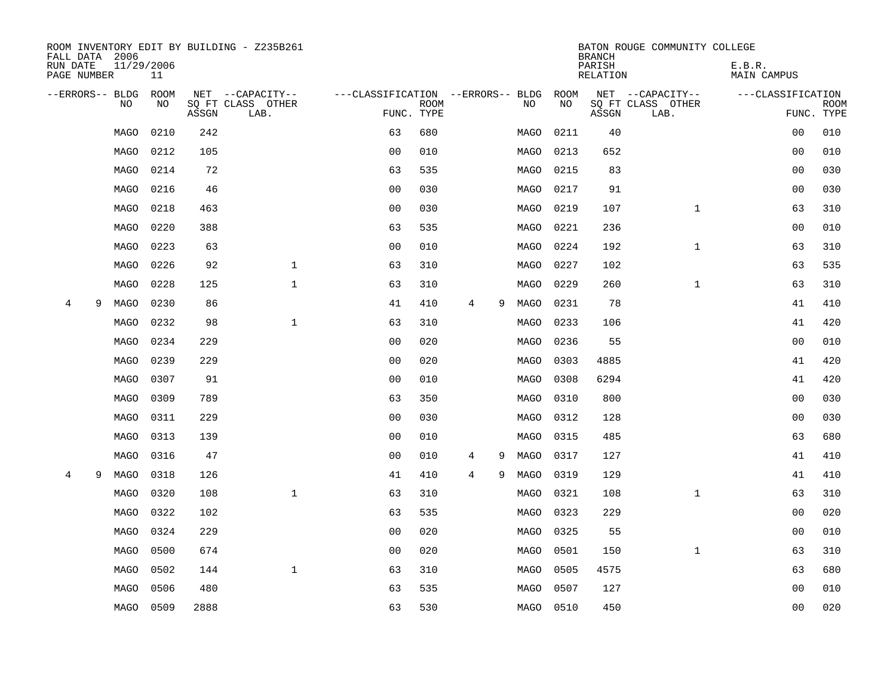|                         |   | FALL DATA 2006       |                  |       | ROOM INVENTORY EDIT BY BUILDING - Z235B261 |                                   |             |   |   |           |           | <b>BRANCH</b>      | BATON ROUGE COMMUNITY COLLEGE |                       |                           |
|-------------------------|---|----------------------|------------------|-------|--------------------------------------------|-----------------------------------|-------------|---|---|-----------|-----------|--------------------|-------------------------------|-----------------------|---------------------------|
| RUN DATE<br>PAGE NUMBER |   |                      | 11/29/2006<br>11 |       |                                            |                                   |             |   |   |           |           | PARISH<br>RELATION |                               | E.B.R.<br>MAIN CAMPUS |                           |
|                         |   | --ERRORS-- BLDG ROOM |                  |       | NET --CAPACITY--                           | ---CLASSIFICATION --ERRORS-- BLDG |             |   |   |           | ROOM      |                    | NET --CAPACITY--              | ---CLASSIFICATION     |                           |
|                         |   | N <sub>O</sub>       | NO.              | ASSGN | SQ FT CLASS OTHER<br>LAB.                  | FUNC. TYPE                        | <b>ROOM</b> |   |   | NO.       | <b>NO</b> | ASSGN              | SQ FT CLASS OTHER<br>LAB.     |                       | <b>ROOM</b><br>FUNC. TYPE |
|                         |   | <b>MAGO</b>          | 0210             | 242   |                                            | 63                                | 680         |   |   | MAGO      | 0211      | 40                 |                               | 0 <sub>0</sub>        | 010                       |
|                         |   | MAGO                 | 0212             | 105   |                                            | 0 <sub>0</sub>                    | 010         |   |   | MAGO      | 0213      | 652                |                               | 0 <sub>0</sub>        | 010                       |
|                         |   | MAGO                 | 0214             | 72    |                                            | 63                                | 535         |   |   | MAGO      | 0215      | 83                 |                               | 00                    | 030                       |
|                         |   | MAGO                 | 0216             | 46    |                                            | 00                                | 030         |   |   | MAGO      | 0217      | 91                 |                               | 00                    | 030                       |
|                         |   | MAGO                 | 0218             | 463   |                                            | 00                                | 030         |   |   | MAGO      | 0219      | 107                | $\mathbf{1}$                  | 63                    | 310                       |
|                         |   | MAGO                 | 0220             | 388   |                                            | 63                                | 535         |   |   | MAGO      | 0221      | 236                |                               | 0 <sub>0</sub>        | 010                       |
|                         |   | MAGO                 | 0223             | 63    |                                            | 0 <sub>0</sub>                    | 010         |   |   | MAGO      | 0224      | 192                | $\mathbf{1}$                  | 63                    | 310                       |
|                         |   | MAGO                 | 0226             | 92    | $\mathbf 1$                                | 63                                | 310         |   |   | MAGO      | 0227      | 102                |                               | 63                    | 535                       |
|                         |   | MAGO                 | 0228             | 125   | $\mathbf{1}$                               | 63                                | 310         |   |   | MAGO      | 0229      | 260                | $\mathbf{1}$                  | 63                    | 310                       |
| 4                       | 9 | MAGO                 | 0230             | 86    |                                            | 41                                | 410         | 4 | 9 | MAGO      | 0231      | 78                 |                               | 41                    | 410                       |
|                         |   | <b>MAGO</b>          | 0232             | 98    | $\mathbf{1}$                               | 63                                | 310         |   |   | MAGO      | 0233      | 106                |                               | 41                    | 420                       |
|                         |   | MAGO                 | 0234             | 229   |                                            | 0 <sub>0</sub>                    | 020         |   |   | MAGO      | 0236      | 55                 |                               | 0 <sub>0</sub>        | 010                       |
|                         |   | MAGO                 | 0239             | 229   |                                            | 0 <sub>0</sub>                    | 020         |   |   | MAGO      | 0303      | 4885               |                               | 41                    | 420                       |
|                         |   | MAGO                 | 0307             | 91    |                                            | 0 <sub>0</sub>                    | 010         |   |   | MAGO      | 0308      | 6294               |                               | 41                    | 420                       |
|                         |   | MAGO                 | 0309             | 789   |                                            | 63                                | 350         |   |   | MAGO      | 0310      | 800                |                               | 00                    | 030                       |
|                         |   | MAGO                 | 0311             | 229   |                                            | 0 <sub>0</sub>                    | 030         |   |   | MAGO      | 0312      | 128                |                               | 0 <sub>0</sub>        | 030                       |
|                         |   | MAGO                 | 0313             | 139   |                                            | 0 <sub>0</sub>                    | 010         |   |   | MAGO      | 0315      | 485                |                               | 63                    | 680                       |
|                         |   | MAGO                 | 0316             | 47    |                                            | 0 <sub>0</sub>                    | 010         | 4 | 9 | MAGO      | 0317      | 127                |                               | 41                    | 410                       |
| $\overline{4}$          | 9 | MAGO                 | 0318             | 126   |                                            | 41                                | 410         | 4 | 9 | MAGO      | 0319      | 129                |                               | 41                    | 410                       |
|                         |   | <b>MAGO</b>          | 0320             | 108   | $\mathbf{1}$                               | 63                                | 310         |   |   | MAGO      | 0321      | 108                | $\mathbf{1}$                  | 63                    | 310                       |
|                         |   | MAGO                 | 0322             | 102   |                                            | 63                                | 535         |   |   | MAGO      | 0323      | 229                |                               | 0 <sub>0</sub>        | 020                       |
|                         |   | MAGO                 | 0324             | 229   |                                            | 0 <sub>0</sub>                    | 020         |   |   | MAGO      | 0325      | 55                 |                               | 00                    | 010                       |
|                         |   | MAGO                 | 0500             | 674   |                                            | 0 <sub>0</sub>                    | 020         |   |   | MAGO      | 0501      | 150                | $\mathbf{1}$                  | 63                    | 310                       |
|                         |   | MAGO                 | 0502             | 144   | $\mathbf{1}$                               | 63                                | 310         |   |   | MAGO      | 0505      | 4575               |                               | 63                    | 680                       |
|                         |   | MAGO                 | 0506             | 480   |                                            | 63                                | 535         |   |   | MAGO      | 0507      | 127                |                               | 0 <sub>0</sub>        | 010                       |
|                         |   |                      | MAGO 0509        | 2888  |                                            | 63                                | 530         |   |   | MAGO 0510 |           | 450                |                               | 0 <sub>0</sub>        | 020                       |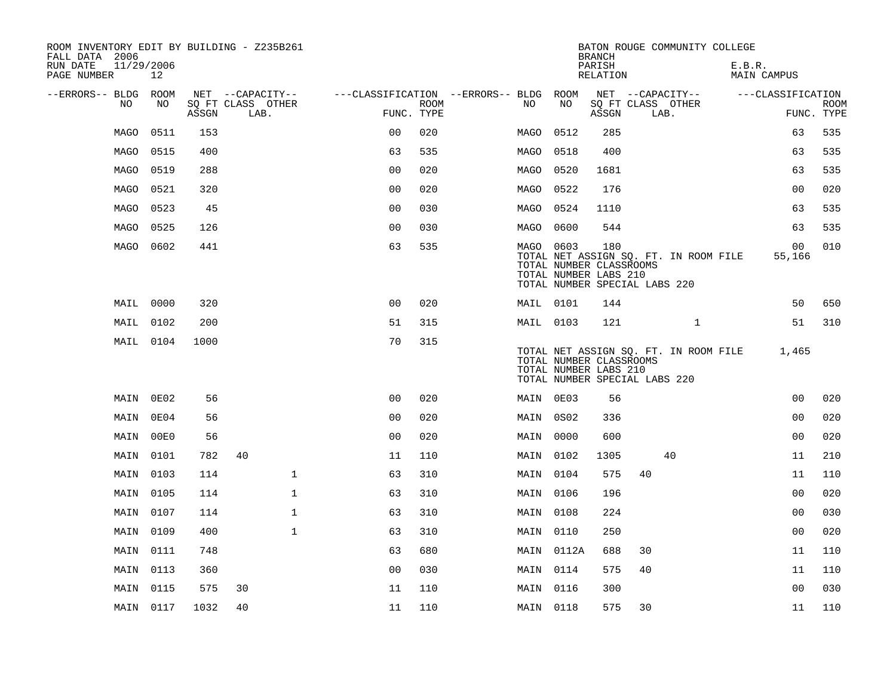| ROOM INVENTORY EDIT BY BUILDING - Z235B261<br>FALL DATA 2006 |                  |       |                           |                                        |                           |           |            | <b>BRANCH</b>                                           | BATON ROUGE COMMUNITY COLLEGE                                          |              |        |                           |                           |
|--------------------------------------------------------------|------------------|-------|---------------------------|----------------------------------------|---------------------------|-----------|------------|---------------------------------------------------------|------------------------------------------------------------------------|--------------|--------|---------------------------|---------------------------|
| RUN DATE<br>11/29/2006<br>PAGE NUMBER                        | 12               |       |                           |                                        |                           |           |            | PARISH<br>RELATION                                      |                                                                        |              | E.B.R. | MAIN CAMPUS               |                           |
| --ERRORS-- BLDG ROOM                                         |                  |       | NET --CAPACITY--          | ---CLASSIFICATION --ERRORS-- BLDG ROOM |                           |           |            |                                                         | NET --CAPACITY--                                                       |              |        | ---CLASSIFICATION         |                           |
| NO.                                                          | NO               | ASSGN | SQ FT CLASS OTHER<br>LAB. |                                        | <b>ROOM</b><br>FUNC. TYPE | NO        | NO         | ASSGN                                                   | SQ FT CLASS OTHER<br>LAB.                                              |              |        |                           | <b>ROOM</b><br>FUNC. TYPE |
| MAGO                                                         | 0511             | 153   |                           | 0 <sub>0</sub>                         | 020                       | MAGO      | 0512       | 285                                                     |                                                                        |              |        | 63                        | 535                       |
| MAGO                                                         | 0515             | 400   |                           | 63                                     | 535                       | MAGO      | 0518       | 400                                                     |                                                                        |              |        | 63                        | 535                       |
| MAGO                                                         | 0519             | 288   |                           | 0 <sub>0</sub>                         | 020                       | MAGO      | 0520       | 1681                                                    |                                                                        |              |        | 63                        | 535                       |
| MAGO                                                         | 0521             | 320   |                           | 0 <sub>0</sub>                         | 020                       | MAGO      | 0522       | 176                                                     |                                                                        |              |        | 0 <sub>0</sub>            | 020                       |
| MAGO                                                         | 0523             | 45    |                           | 0 <sub>0</sub>                         | 030                       | MAGO      | 0524       | 1110                                                    |                                                                        |              |        | 63                        | 535                       |
| MAGO                                                         | 0525             | 126   |                           | 0 <sub>0</sub>                         | 030                       | MAGO      | 0600       | 544                                                     |                                                                        |              |        | 63                        | 535                       |
|                                                              | MAGO 0602        | 441   |                           | 63                                     | 535                       | MAGO 0603 |            | 180<br>TOTAL NUMBER CLASSROOMS<br>TOTAL NUMBER LABS 210 | TOTAL NET ASSIGN SQ. FT. IN ROOM FILE<br>TOTAL NUMBER SPECIAL LABS 220 |              |        | 00 <sup>o</sup><br>55,166 | 010                       |
|                                                              | MAIL 0000        | 320   |                           | 00                                     | 020                       | MAIL 0101 |            | 144                                                     |                                                                        |              |        | 50                        | 650                       |
|                                                              | MAIL 0102        | 200   |                           | 51                                     | 315                       | MAIL 0103 |            | 121                                                     |                                                                        | $\mathbf{1}$ |        | 51                        | 310                       |
|                                                              | MAIL 0104        | 1000  |                           | 70                                     | 315                       |           |            | TOTAL NUMBER CLASSROOMS<br>TOTAL NUMBER LABS 210        | TOTAL NET ASSIGN SQ. FT. IN ROOM FILE<br>TOTAL NUMBER SPECIAL LABS 220 |              |        | 1,465                     |                           |
|                                                              | MAIN 0E02        | 56    |                           | 0 <sub>0</sub>                         | 020                       | MAIN 0E03 |            | 56                                                      |                                                                        |              |        | 0 <sub>0</sub>            | 020                       |
|                                                              | MAIN 0E04        | 56    |                           | 00                                     | 020                       | MAIN 0S02 |            | 336                                                     |                                                                        |              |        | 00                        | 020                       |
|                                                              | MAIN 00E0        | 56    |                           | 0 <sub>0</sub>                         | 020                       | MAIN 0000 |            | 600                                                     |                                                                        |              |        | 00                        | 020                       |
|                                                              | MAIN 0101        | 782   | 40                        | 11                                     | 110                       | MAIN 0102 |            | 1305                                                    | 40                                                                     |              |        | 11                        | 210                       |
|                                                              | MAIN 0103        | 114   | $\mathbf{1}$              | 63                                     | 310                       | MAIN 0104 |            | 575                                                     | 40                                                                     |              |        | 11                        | 110                       |
|                                                              | <b>MAIN 0105</b> | 114   | $\mathbf{1}$              | 63                                     | 310                       | MAIN 0106 |            | 196                                                     |                                                                        |              |        | 0 <sub>0</sub>            | 020                       |
|                                                              | MAIN 0107        | 114   | $\mathbf 1$               | 63                                     | 310                       | MAIN 0108 |            | 224                                                     |                                                                        |              |        | 00                        | 030                       |
|                                                              | MAIN 0109        | 400   | $\mathbf{1}$              | 63                                     | 310                       | MAIN      | 0110       | 250                                                     |                                                                        |              |        | 0 <sub>0</sub>            | 020                       |
|                                                              | MAIN 0111        | 748   |                           | 63                                     | 680                       |           | MAIN 0112A | 688                                                     | 30                                                                     |              |        | 11                        | 110                       |
|                                                              | MAIN 0113        | 360   |                           | 0 <sub>0</sub>                         | 030                       | MAIN 0114 |            | 575                                                     | 40                                                                     |              |        | 11                        | 110                       |
|                                                              | <b>MAIN 0115</b> | 575   | 30                        | 11                                     | 110                       | MAIN 0116 |            | 300                                                     |                                                                        |              |        | 0 <sub>0</sub>            | 030                       |
|                                                              | MAIN 0117        | 1032  | 40                        | 11                                     | 110                       | MAIN 0118 |            | 575                                                     | 30                                                                     |              |        | 11                        | 110                       |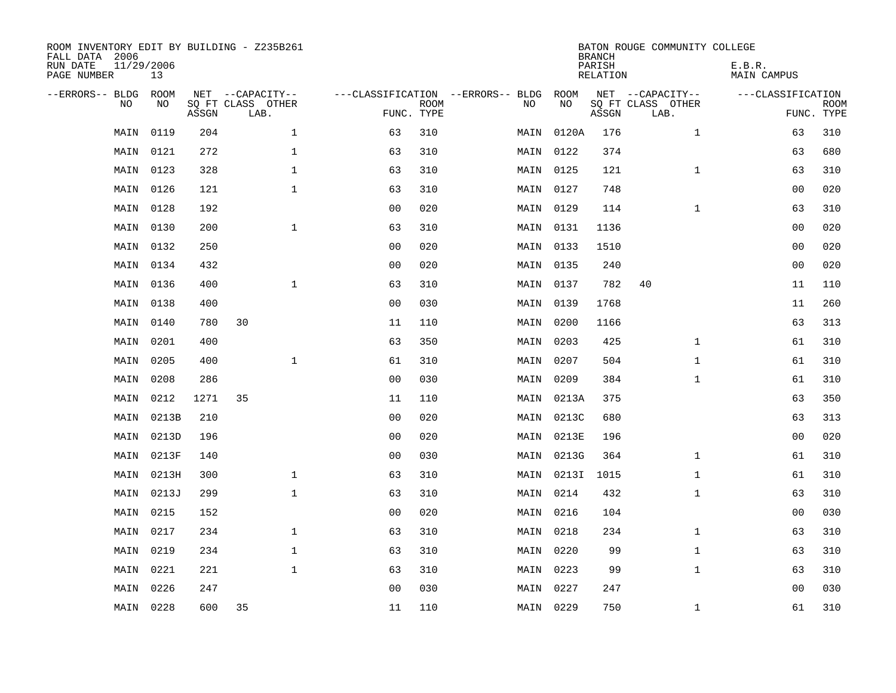| ROOM INVENTORY EDIT BY BUILDING - Z235B261<br>FALL DATA 2006<br>RUN DATE<br>PAGE NUMBER | 11/29/2006<br>13 |       |                           |                |             |                                   |            | <b>BRANCH</b><br>PARISH<br>RELATION | BATON ROUGE COMMUNITY COLLEGE | E.B.R.<br>MAIN CAMPUS |                           |
|-----------------------------------------------------------------------------------------|------------------|-------|---------------------------|----------------|-------------|-----------------------------------|------------|-------------------------------------|-------------------------------|-----------------------|---------------------------|
| --ERRORS-- BLDG                                                                         | ROOM             |       | NET --CAPACITY--          |                |             | ---CLASSIFICATION --ERRORS-- BLDG | ROOM       |                                     | NET --CAPACITY--              | ---CLASSIFICATION     |                           |
| N <sub>O</sub>                                                                          | NO.              | ASSGN | SO FT CLASS OTHER<br>LAB. | FUNC. TYPE     | <b>ROOM</b> | NO.                               | <b>NO</b>  | ASSGN                               | SQ FT CLASS OTHER<br>LAB.     |                       | <b>ROOM</b><br>FUNC. TYPE |
| MAIN                                                                                    | 0119             | 204   | $\mathbf{1}$              | 63             | 310         | MAIN                              | 0120A      | 176                                 | $\mathbf{1}$                  | 63                    | 310                       |
| MAIN                                                                                    | 0121             | 272   | $\mathbf{1}$              | 63             | 310         |                                   | MAIN 0122  | 374                                 |                               | 63                    | 680                       |
| MAIN                                                                                    | 0123             | 328   | $\mathbf 1$               | 63             | 310         |                                   | MAIN 0125  | 121                                 | $\mathbf{1}$                  | 63                    | 310                       |
| MAIN                                                                                    | 0126             | 121   | 1                         | 63             | 310         |                                   | MAIN 0127  | 748                                 |                               | 00                    | 020                       |
| MAIN                                                                                    | 0128             | 192   |                           | 0 <sub>0</sub> | 020         |                                   | MAIN 0129  | 114                                 | $\mathbf{1}$                  | 63                    | 310                       |
| MAIN                                                                                    | 0130             | 200   | $\mathbf{1}$              | 63             | 310         |                                   | MAIN 0131  | 1136                                |                               | 0 <sub>0</sub>        | 020                       |
| MAIN                                                                                    | 0132             | 250   |                           | 0 <sub>0</sub> | 020         |                                   | MAIN 0133  | 1510                                |                               | 0 <sub>0</sub>        | 020                       |
| MAIN                                                                                    | 0134             | 432   |                           | 0 <sub>0</sub> | 020         |                                   | MAIN 0135  | 240                                 |                               | 0 <sub>0</sub>        | 020                       |
| MAIN                                                                                    | 0136             | 400   | $\mathbf{1}$              | 63             | 310         |                                   | MAIN 0137  | 782                                 | 40                            | 11                    | 110                       |
| MAIN                                                                                    | 0138             | 400   |                           | 0 <sub>0</sub> | 030         |                                   | MAIN 0139  | 1768                                |                               | 11                    | 260                       |
| MAIN                                                                                    | 0140             | 780   | 30                        | 11             | 110         | MAIN                              | 0200       | 1166                                |                               | 63                    | 313                       |
| MAIN                                                                                    | 0201             | 400   |                           | 63             | 350         |                                   | MAIN 0203  | 425                                 | $\mathbf{1}$                  | 61                    | 310                       |
| MAIN                                                                                    | 0205             | 400   | $\mathbf 1$               | 61             | 310         | MAIN                              | 0207       | 504                                 | $\mathbf{1}$                  | 61                    | 310                       |
| MAIN                                                                                    | 0208             | 286   |                           | 0 <sub>0</sub> | 030         |                                   | MAIN 0209  | 384                                 | $\mathbf{1}$                  | 61                    | 310                       |
| MAIN                                                                                    | 0212             | 1271  | 35                        | 11             | 110         |                                   | MAIN 0213A | 375                                 |                               | 63                    | 350                       |
| MAIN                                                                                    | 0213B            | 210   |                           | 0 <sub>0</sub> | 020         |                                   | MAIN 0213C | 680                                 |                               | 63                    | 313                       |
| MAIN                                                                                    | 0213D            | 196   |                           | 0 <sub>0</sub> | 020         | MAIN                              | 0213E      | 196                                 |                               | 0 <sub>0</sub>        | 020                       |
| MAIN                                                                                    | 0213F            | 140   |                           | 0 <sub>0</sub> | 030         |                                   | MAIN 0213G | 364                                 | $\mathbf{1}$                  | 61                    | 310                       |
| MAIN                                                                                    | 0213H            | 300   | $\mathbf 1$               | 63             | 310         |                                   | MAIN 0213I | 1015                                | $\mathbf{1}$                  | 61                    | 310                       |
| MAIN                                                                                    | 0213J            | 299   | $\mathbf{1}$              | 63             | 310         |                                   | MAIN 0214  | 432                                 | $\mathbf{1}$                  | 63                    | 310                       |
| MAIN                                                                                    | 0215             | 152   |                           | 0 <sub>0</sub> | 020         |                                   | MAIN 0216  | 104                                 |                               | 0 <sub>0</sub>        | 030                       |
| MAIN                                                                                    | 0217             | 234   | $\mathbf 1$               | 63             | 310         |                                   | MAIN 0218  | 234                                 | $\mathbf{1}$                  | 63                    | 310                       |
| MAIN                                                                                    | 0219             | 234   | 1                         | 63             | 310         |                                   | MAIN 0220  | 99                                  | $\mathbf{1}$                  | 63                    | 310                       |
| MAIN                                                                                    | 0221             | 221   | $\mathbf{1}$              | 63             | 310         |                                   | MAIN 0223  | 99                                  | $\mathbf{1}$                  | 63                    | 310                       |
| MAIN                                                                                    | 0226             | 247   |                           | 0 <sub>0</sub> | 030         |                                   | MAIN 0227  | 247                                 |                               | 0 <sub>0</sub>        | 030                       |
|                                                                                         | MAIN 0228        | 600   | 35                        | 11             | 110         |                                   | MAIN 0229  | 750                                 | $\mathbf{1}$                  | 61                    | 310                       |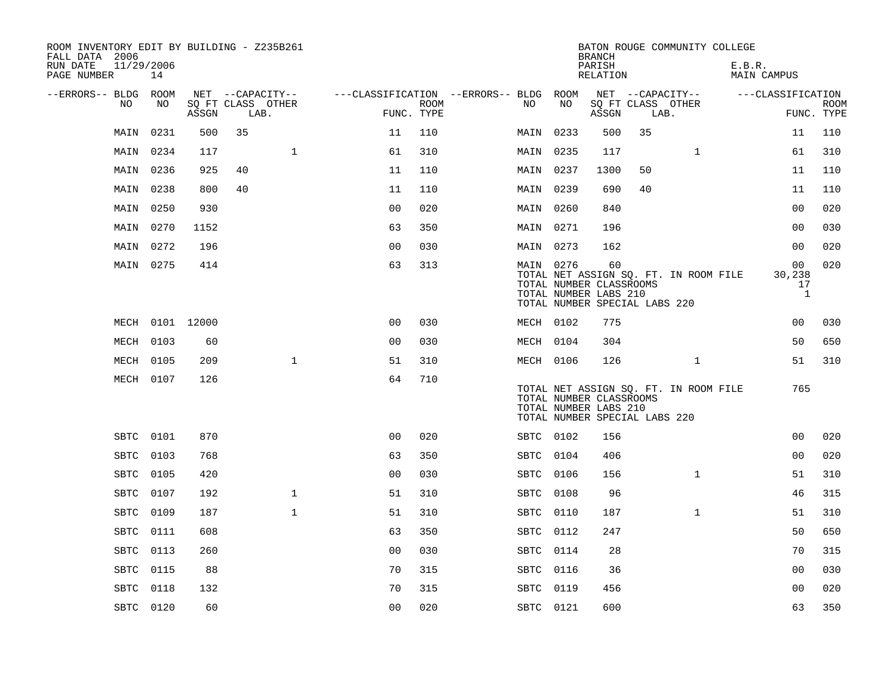| ROOM INVENTORY EDIT BY BUILDING - Z235B261<br>FALL DATA 2006 |                  |       |                           |              |                                        |      |             |      | <b>BRANCH</b>                                                                           |    | BATON ROUGE COMMUNITY COLLEGE         |                              |                                    |                           |
|--------------------------------------------------------------|------------------|-------|---------------------------|--------------|----------------------------------------|------|-------------|------|-----------------------------------------------------------------------------------------|----|---------------------------------------|------------------------------|------------------------------------|---------------------------|
| RUN DATE<br>PAGE NUMBER                                      | 11/29/2006<br>14 |       |                           |              |                                        |      |             |      | PARISH<br>RELATION                                                                      |    |                                       | E.B.R.<br><b>MAIN CAMPUS</b> |                                    |                           |
| --ERRORS-- BLDG ROOM<br>NO.                                  | NO.              |       | NET --CAPACITY--          |              | ---CLASSIFICATION --ERRORS-- BLDG ROOM |      |             | NO   |                                                                                         |    | NET --CAPACITY--                      |                              | ---CLASSIFICATION                  |                           |
|                                                              |                  | ASSGN | SQ FT CLASS OTHER<br>LAB. |              | FUNC. TYPE                             | ROOM | NO          |      | ASSGN                                                                                   |    | SQ FT CLASS OTHER<br>LAB.             |                              |                                    | <b>ROOM</b><br>FUNC. TYPE |
| MAIN                                                         | 0231             | 500   | 35                        |              | 11                                     | 110  | MAIN        | 0233 | 500                                                                                     | 35 |                                       |                              | 11                                 | 110                       |
| MAIN                                                         | 0234             | 117   |                           | $\mathbf 1$  | 61                                     | 310  | MAIN 0235   |      | 117                                                                                     |    | $\mathbf{1}$                          |                              | 61                                 | 310                       |
| MAIN                                                         | 0236             | 925   | 40                        |              | 11                                     | 110  | MAIN 0237   |      | 1300                                                                                    | 50 |                                       |                              | 11                                 | 110                       |
| MAIN                                                         | 0238             | 800   | 40                        |              | 11                                     | 110  | MAIN 0239   |      | 690                                                                                     | 40 |                                       |                              | 11                                 | 110                       |
| MAIN                                                         | 0250             | 930   |                           |              | 0 <sub>0</sub>                         | 020  | MAIN 0260   |      | 840                                                                                     |    |                                       |                              | 0 <sub>0</sub>                     | 020                       |
| MAIN                                                         | 0270             | 1152  |                           |              | 63                                     | 350  | MAIN 0271   |      | 196                                                                                     |    |                                       |                              | 0 <sub>0</sub>                     | 030                       |
|                                                              | MAIN 0272        | 196   |                           |              | 0 <sub>0</sub>                         | 030  | MAIN 0273   |      | 162                                                                                     |    |                                       |                              | 0 <sub>0</sub>                     | 020                       |
|                                                              | MAIN 0275        | 414   |                           |              | 63                                     | 313  | MAIN 0276   |      | 60<br>TOTAL NUMBER CLASSROOMS<br>TOTAL NUMBER LABS 210<br>TOTAL NUMBER SPECIAL LABS 220 |    | TOTAL NET ASSIGN SQ. FT. IN ROOM FILE |                              | 00<br>30,238<br>17<br>$\mathbf{1}$ | 020                       |
|                                                              | MECH 0101 12000  |       |                           |              | 0 <sub>0</sub>                         | 030  | MECH 0102   |      | 775                                                                                     |    |                                       |                              | 00                                 | 030                       |
|                                                              | MECH 0103        | 60    |                           |              | 00                                     | 030  | MECH 0104   |      | 304                                                                                     |    |                                       |                              | 50                                 | 650                       |
|                                                              | MECH 0105        | 209   |                           | $\mathbf{1}$ | 51                                     | 310  | MECH 0106   |      | 126                                                                                     |    | $\mathbf{1}$                          |                              | 51                                 | 310                       |
|                                                              | MECH 0107        | 126   |                           |              | 64                                     | 710  |             |      | TOTAL NUMBER CLASSROOMS<br>TOTAL NUMBER LABS 210<br>TOTAL NUMBER SPECIAL LABS 220       |    | TOTAL NET ASSIGN SQ. FT. IN ROOM FILE |                              | 765                                |                           |
|                                                              | SBTC 0101        | 870   |                           |              | 0 <sub>0</sub>                         | 020  | SBTC 0102   |      | 156                                                                                     |    |                                       |                              | 0 <sub>0</sub>                     | 020                       |
| SBTC                                                         | 0103             | 768   |                           |              | 63                                     | 350  | SBTC 0104   |      | 406                                                                                     |    |                                       |                              | 00                                 | 020                       |
| SBTC                                                         | 0105             | 420   |                           |              | 0 <sub>0</sub>                         | 030  | SBTC        | 0106 | 156                                                                                     |    | $\mathbf{1}$                          |                              | 51                                 | 310                       |
| SBTC                                                         | 0107             | 192   |                           | $\mathbf{1}$ | 51                                     | 310  | SBTC        | 0108 | 96                                                                                      |    |                                       |                              | 46                                 | 315                       |
| SBTC                                                         | 0109             | 187   |                           | $\mathbf{1}$ | 51                                     | 310  | SBTC        | 0110 | 187                                                                                     |    | $\mathbf{1}$                          |                              | 51                                 | 310                       |
| SBTC                                                         | 0111             | 608   |                           |              | 63                                     | 350  | <b>SBTC</b> | 0112 | 247                                                                                     |    |                                       |                              | 50                                 | 650                       |
| SBTC                                                         | 0113             | 260   |                           |              | 0 <sub>0</sub>                         | 030  | SBTC        | 0114 | 28                                                                                      |    |                                       |                              | 70                                 | 315                       |
| SBTC                                                         | 0115             | 88    |                           |              | 70                                     | 315  | SBTC        | 0116 | 36                                                                                      |    |                                       |                              | 0 <sub>0</sub>                     | 030                       |
| SBTC                                                         | 0118             | 132   |                           |              | 70                                     | 315  | SBTC        | 0119 | 456                                                                                     |    |                                       |                              | 0 <sub>0</sub>                     | 020                       |
|                                                              | SBTC 0120        | 60    |                           |              | 00                                     | 020  | SBTC 0121   |      | 600                                                                                     |    |                                       |                              | 63                                 | 350                       |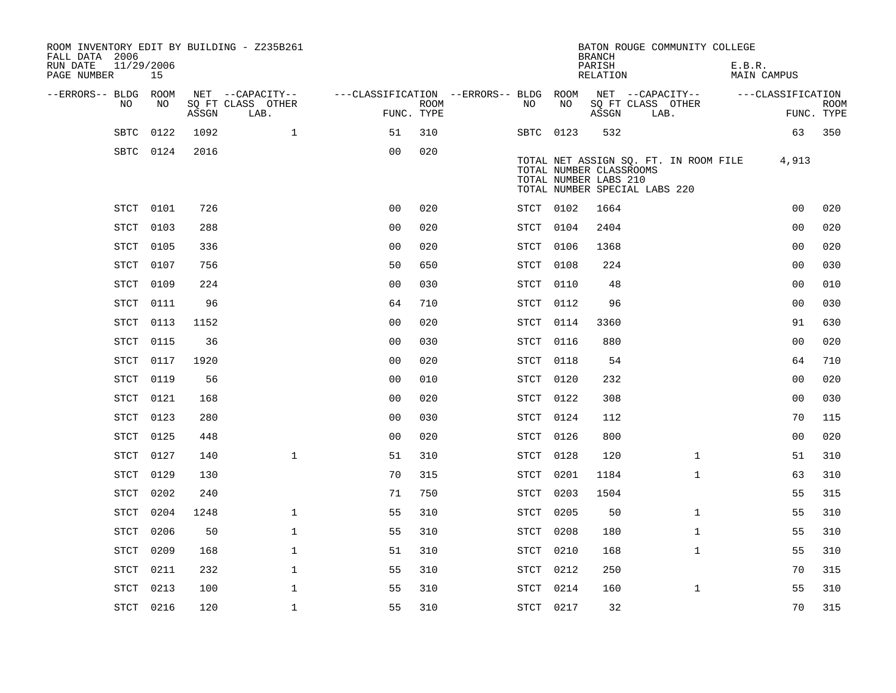| ROOM INVENTORY EDIT BY BUILDING - Z235B261<br>FALL DATA 2006 |           |       |                           |                                        | BATON ROUGE COMMUNITY COLLEGE<br><b>BRANCH</b> |  |           |           |                                                  |                                                                        |                       |                   |                           |
|--------------------------------------------------------------|-----------|-------|---------------------------|----------------------------------------|------------------------------------------------|--|-----------|-----------|--------------------------------------------------|------------------------------------------------------------------------|-----------------------|-------------------|---------------------------|
| 11/29/2006<br>RUN DATE<br>PAGE NUMBER                        | 15        |       |                           |                                        |                                                |  |           |           | PARISH<br>RELATION                               |                                                                        | E.B.R.<br>MAIN CAMPUS |                   |                           |
| --ERRORS-- BLDG ROOM                                         |           |       | NET --CAPACITY--          | ---CLASSIFICATION --ERRORS-- BLDG ROOM |                                                |  |           |           |                                                  | NET --CAPACITY--                                                       |                       | ---CLASSIFICATION |                           |
| NO.                                                          | NO.       | ASSGN | SQ FT CLASS OTHER<br>LAB. |                                        | ROOM<br>FUNC. TYPE                             |  | NO.       | NO        | ASSGN                                            | SQ FT CLASS OTHER<br>LAB.                                              |                       |                   | <b>ROOM</b><br>FUNC. TYPE |
| SBTC                                                         | 0122      | 1092  | 1                         | 51                                     | 310                                            |  |           | SBTC 0123 | 532                                              |                                                                        |                       | 63                | 350                       |
|                                                              | SBTC 0124 | 2016  |                           | 0 <sub>0</sub>                         | 020                                            |  |           |           | TOTAL NUMBER CLASSROOMS<br>TOTAL NUMBER LABS 210 | TOTAL NET ASSIGN SQ. FT. IN ROOM FILE<br>TOTAL NUMBER SPECIAL LABS 220 |                       | 4,913             |                           |
|                                                              | STCT 0101 | 726   |                           | 0 <sub>0</sub>                         | 020                                            |  | STCT 0102 |           | 1664                                             |                                                                        |                       | 0 <sub>0</sub>    | 020                       |
| STCT                                                         | 0103      | 288   |                           | 0 <sub>0</sub>                         | 020                                            |  | STCT 0104 |           | 2404                                             |                                                                        |                       | 0 <sub>0</sub>    | 020                       |
| STCT                                                         | 0105      | 336   |                           | 0 <sub>0</sub>                         | 020                                            |  | STCT 0106 |           | 1368                                             |                                                                        |                       | 0 <sub>0</sub>    | 020                       |
| STCT                                                         | 0107      | 756   |                           | 50                                     | 650                                            |  | STCT 0108 |           | 224                                              |                                                                        |                       | 00                | 030                       |
| STCT                                                         | 0109      | 224   |                           | 00                                     | 030                                            |  | STCT 0110 |           | 48                                               |                                                                        |                       | 0 <sub>0</sub>    | 010                       |
| <b>STCT</b>                                                  | 0111      | 96    |                           | 64                                     | 710                                            |  | STCT 0112 |           | 96                                               |                                                                        |                       | 0 <sub>0</sub>    | 030                       |
| <b>STCT</b>                                                  | 0113      | 1152  |                           | 0 <sub>0</sub>                         | 020                                            |  | STCT 0114 |           | 3360                                             |                                                                        |                       | 91                | 630                       |
| STCT                                                         | 0115      | 36    |                           | 0 <sub>0</sub>                         | 030                                            |  | STCT      | 0116      | 880                                              |                                                                        |                       | 0 <sub>0</sub>    | 020                       |
| STCT                                                         | 0117      | 1920  |                           | 0 <sub>0</sub>                         | 020                                            |  | STCT 0118 |           | 54                                               |                                                                        |                       | 64                | 710                       |
| STCT                                                         | 0119      | 56    |                           | 0 <sub>0</sub>                         | 010                                            |  | STCT 0120 |           | 232                                              |                                                                        |                       | 00                | 020                       |
| STCT                                                         | 0121      | 168   |                           | 0 <sub>0</sub>                         | 020                                            |  | STCT 0122 |           | 308                                              |                                                                        |                       | 0 <sub>0</sub>    | 030                       |
|                                                              | STCT 0123 | 280   |                           | 0 <sub>0</sub>                         | 030                                            |  | STCT 0124 |           | 112                                              |                                                                        |                       | 70                | 115                       |
| STCT                                                         | 0125      | 448   |                           | 0 <sub>0</sub>                         | 020                                            |  |           | STCT 0126 | 800                                              |                                                                        |                       | 00                | 020                       |
| STCT                                                         | 0127      | 140   | $\mathbf{1}$              | 51                                     | 310                                            |  |           | STCT 0128 | 120                                              | $\mathbf{1}$                                                           |                       | 51                | 310                       |
| STCT                                                         | 0129      | 130   |                           | 70                                     | 315                                            |  | STCT 0201 |           | 1184                                             | $\mathbf{1}$                                                           |                       | 63                | 310                       |
| STCT                                                         | 0202      | 240   |                           | 71                                     | 750                                            |  | STCT 0203 |           | 1504                                             |                                                                        |                       | 55                | 315                       |
| <b>STCT</b>                                                  | 0204      | 1248  | $\mathbf{1}$              | 55                                     | 310                                            |  | STCT 0205 |           | 50                                               | $\mathbf{1}$                                                           |                       | 55                | 310                       |
| STCT                                                         | 0206      | 50    | $\mathbf 1$               | 55                                     | 310                                            |  | STCT 0208 |           | 180                                              | $\mathbf{1}$                                                           |                       | 55                | 310                       |
| STCT                                                         | 0209      | 168   | $\mathbf{1}$              | 51                                     | 310                                            |  | STCT 0210 |           | 168                                              | $\mathbf{1}$                                                           |                       | 55                | 310                       |
| STCT                                                         | 0211      | 232   | $\mathbf 1$               | 55                                     | 310                                            |  | STCT 0212 |           | 250                                              |                                                                        |                       | 70                | 315                       |
| STCT                                                         | 0213      | 100   | $\mathbf{1}$              | 55                                     | 310                                            |  | STCT 0214 |           | 160                                              | $\mathbf{1}$                                                           |                       | 55                | 310                       |
|                                                              | STCT 0216 | 120   | $\mathbf{1}$              | 55                                     | 310                                            |  | STCT 0217 |           | 32                                               |                                                                        |                       | 70                | 315                       |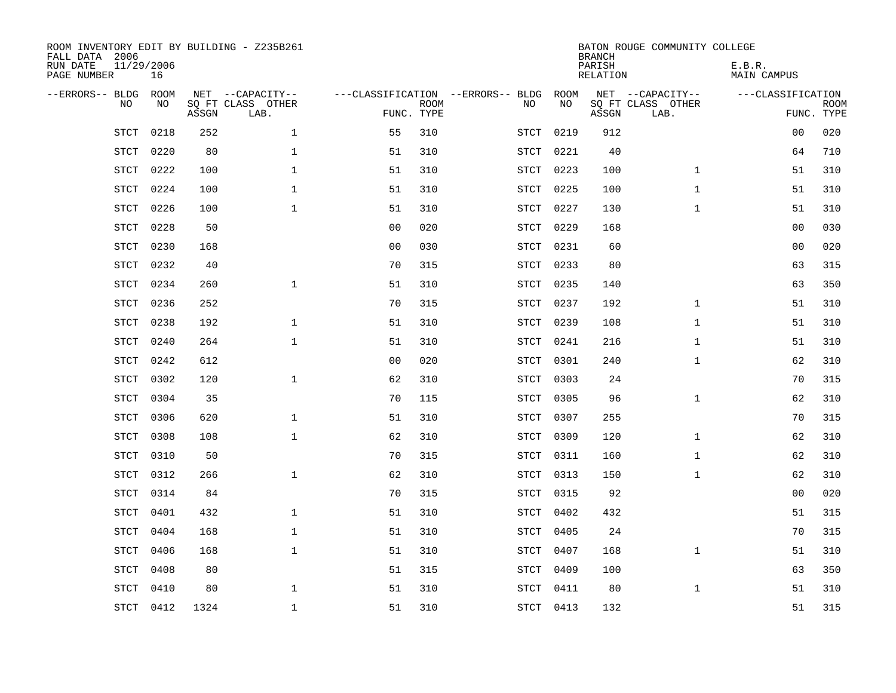| ROOM INVENTORY EDIT BY BUILDING - Z235B261<br>FALL DATA 2006<br>RUN DATE<br>11/29/2006 |            |       |                           |                |             | BATON ROUGE COMMUNITY COLLEGE<br><b>BRANCH</b><br>PARISH<br>E.B.R. |            |                 |                           |                    |             |  |  |
|----------------------------------------------------------------------------------------|------------|-------|---------------------------|----------------|-------------|--------------------------------------------------------------------|------------|-----------------|---------------------------|--------------------|-------------|--|--|
| PAGE NUMBER                                                                            | 16         |       |                           |                |             |                                                                    |            | <b>RELATION</b> |                           | <b>MAIN CAMPUS</b> |             |  |  |
| --ERRORS-- BLDG<br>NO                                                                  | ROOM<br>NO |       | NET --CAPACITY--          |                | <b>ROOM</b> | ---CLASSIFICATION --ERRORS-- BLDG<br>NO                            | ROOM<br>NO |                 | NET --CAPACITY--          | ---CLASSIFICATION  | <b>ROOM</b> |  |  |
|                                                                                        |            | ASSGN | SQ FT CLASS OTHER<br>LAB. | FUNC. TYPE     |             |                                                                    |            | ASSGN           | SQ FT CLASS OTHER<br>LAB. |                    | FUNC. TYPE  |  |  |
| STCT                                                                                   | 0218       | 252   | $\mathbf 1$               | 55             | 310         | STCT                                                               | 0219       | 912             |                           | 00                 | 020         |  |  |
| <b>STCT</b>                                                                            | 0220       | 80    | $\mathbf 1$               | 51             | 310         | STCT                                                               | 0221       | 40              |                           | 64                 | 710         |  |  |
| <b>STCT</b>                                                                            | 0222       | 100   | $\mathbf 1$               | 51             | 310         | STCT                                                               | 0223       | 100             | $\mathbf{1}$              | 51                 | 310         |  |  |
| <b>STCT</b>                                                                            | 0224       | 100   | $\mathbf 1$               | 51             | 310         | STCT                                                               | 0225       | 100             | $\mathbf{1}$              | 51                 | 310         |  |  |
| <b>STCT</b>                                                                            | 0226       | 100   | $\mathbf{1}$              | 51             | 310         | <b>STCT</b>                                                        | 0227       | 130             | $\mathbf{1}$              | 51                 | 310         |  |  |
| <b>STCT</b>                                                                            | 0228       | 50    |                           | 0 <sub>0</sub> | 020         | <b>STCT</b>                                                        | 0229       | 168             |                           | 0 <sub>0</sub>     | 030         |  |  |
| <b>STCT</b>                                                                            | 0230       | 168   |                           | 0 <sub>0</sub> | 030         | STCT                                                               | 0231       | 60              |                           | 00                 | 020         |  |  |
| <b>STCT</b>                                                                            | 0232       | 40    |                           | 70             | 315         | STCT                                                               | 0233       | 80              |                           | 63                 | 315         |  |  |
| <b>STCT</b>                                                                            | 0234       | 260   | $\mathbf{1}$              | 51             | 310         | STCT                                                               | 0235       | 140             |                           | 63                 | 350         |  |  |
| <b>STCT</b>                                                                            | 0236       | 252   |                           | 70             | 315         | STCT                                                               | 0237       | 192             | $\mathbf{1}$              | 51                 | 310         |  |  |
| <b>STCT</b>                                                                            | 0238       | 192   | $\mathbf{1}$              | 51             | 310         | <b>STCT</b>                                                        | 0239       | 108             | $\mathbf{1}$              | 51                 | 310         |  |  |
| <b>STCT</b>                                                                            | 0240       | 264   | $\mathbf{1}$              | 51             | 310         | <b>STCT</b>                                                        | 0241       | 216             | $\mathbf{1}$              | 51                 | 310         |  |  |
| <b>STCT</b>                                                                            | 0242       | 612   |                           | 0 <sub>0</sub> | 020         | STCT                                                               | 0301       | 240             | $\mathbf{1}$              | 62                 | 310         |  |  |
| STCT                                                                                   | 0302       | 120   | $\mathbf 1$               | 62             | 310         | STCT                                                               | 0303       | 24              |                           | 70                 | 315         |  |  |
| STCT                                                                                   | 0304       | 35    |                           | 70             | 115         | STCT                                                               | 0305       | 96              | $\mathbf{1}$              | 62                 | 310         |  |  |
| <b>STCT</b>                                                                            | 0306       | 620   | $\mathbf{1}$              | 51             | 310         | <b>STCT</b>                                                        | 0307       | 255             |                           | 70                 | 315         |  |  |
| <b>STCT</b>                                                                            | 0308       | 108   | $\mathbf{1}$              | 62             | 310         | <b>STCT</b>                                                        | 0309       | 120             | $\mathbf{1}$              | 62                 | 310         |  |  |
| <b>STCT</b>                                                                            | 0310       | 50    |                           | 70             | 315         | <b>STCT</b>                                                        | 0311       | 160             | $\mathbf{1}$              | 62                 | 310         |  |  |
| <b>STCT</b>                                                                            | 0312       | 266   | $\mathbf{1}$              | 62             | 310         | STCT                                                               | 0313       | 150             | $\mathbf{1}$              | 62                 | 310         |  |  |
| <b>STCT</b>                                                                            | 0314       | 84    |                           | 70             | 315         | <b>STCT</b>                                                        | 0315       | 92              |                           | 00                 | 020         |  |  |
| <b>STCT</b>                                                                            | 0401       | 432   | $\mathbf 1$               | 51             | 310         | <b>STCT</b>                                                        | 0402       | 432             |                           | 51                 | 315         |  |  |
| <b>STCT</b>                                                                            | 0404       | 168   | $\mathbf{1}$              | 51             | 310         | <b>STCT</b>                                                        | 0405       | 24              |                           | 70                 | 315         |  |  |
| <b>STCT</b>                                                                            | 0406       | 168   | $\mathbf{1}$              | 51             | 310         | STCT                                                               | 0407       | 168             | $\mathbf{1}$              | 51                 | 310         |  |  |
| <b>STCT</b>                                                                            | 0408       | 80    |                           | 51             | 315         |                                                                    | STCT 0409  | 100             |                           | 63                 | 350         |  |  |
| <b>STCT</b>                                                                            | 0410       | 80    | $\mathbf 1$               | 51             | 310         |                                                                    | STCT 0411  | 80              | $\mathbf{1}$              | 51                 | 310         |  |  |
|                                                                                        | STCT 0412  | 1324  | $\mathbf{1}$              | 51             | 310         |                                                                    | STCT 0413  | 132             |                           | 51                 | 315         |  |  |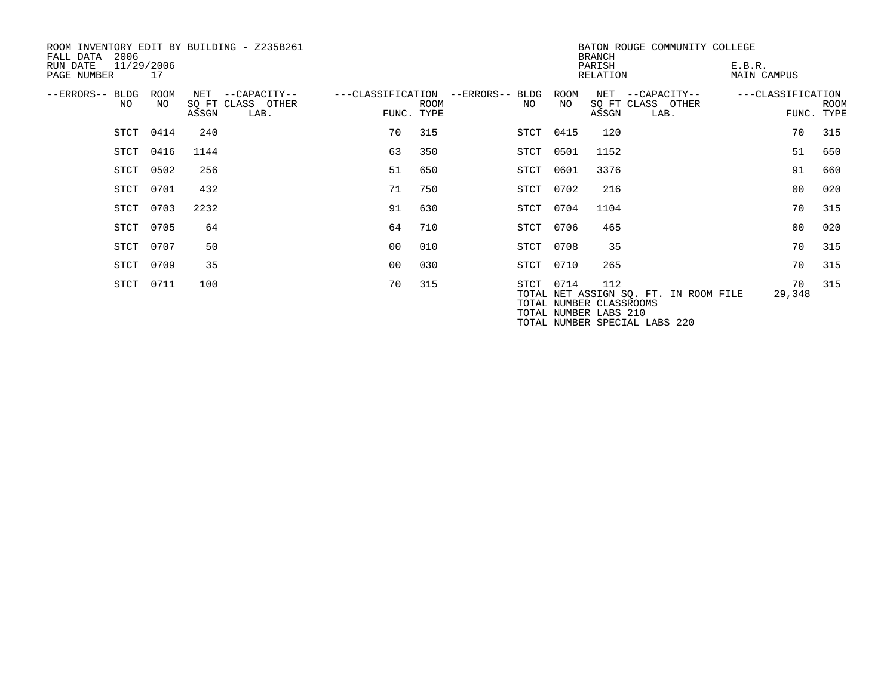| ROOM INVENTORY EDIT BY BUILDING - Z235B261<br>2006<br>FALL DATA<br>11/29/2006<br>RUN DATE<br>PAGE NUMBER | 17          |       |                                               | BATON ROUGE COMMUNITY COLLEGE<br><b>BRANCH</b><br>PARISH<br>RELATION |                           |                                         |            |                                                                                          |                                           | E.B.R.<br>MAIN CAMPUS |                 |             |  |
|----------------------------------------------------------------------------------------------------------|-------------|-------|-----------------------------------------------|----------------------------------------------------------------------|---------------------------|-----------------------------------------|------------|------------------------------------------------------------------------------------------|-------------------------------------------|-----------------------|-----------------|-------------|--|
| --ERRORS-- BLDG<br>NO.                                                                                   | ROOM<br>NO. | ASSGN | NET --CAPACITY--<br>SQ FT CLASS OTHER<br>LAB. |                                                                      | <b>ROOM</b><br>FUNC. TYPE | ---CLASSIFICATION --ERRORS-- BLDG<br>NO | ROOM<br>NO | $\operatorname{NET}$<br>ASSGN                                                            | --CAPACITY--<br>SQ FT CLASS OTHER<br>LAB. | ---CLASSIFICATION     | FUNC. TYPE      | <b>ROOM</b> |  |
|                                                                                                          | STCT 0414   | 240   |                                               | 70                                                                   | 315                       | STCT 0415                               |            | 120                                                                                      |                                           |                       | 70              | 315         |  |
|                                                                                                          | STCT 0416   | 1144  |                                               | 63                                                                   | 350                       | STCT 0501                               |            | 1152                                                                                     |                                           |                       | 51              | 650         |  |
|                                                                                                          | STCT 0502   | 256   |                                               | 51                                                                   | 650                       | STCT 0601                               |            | 3376                                                                                     |                                           |                       | 91              | 660         |  |
|                                                                                                          | STCT 0701   | 432   |                                               | 71                                                                   | 750                       |                                         | STCT 0702  | 216                                                                                      |                                           |                       | 00 <sup>o</sup> | 020         |  |
|                                                                                                          | STCT 0703   | 2232  |                                               | 91                                                                   | 630                       |                                         | STCT 0704  | 1104                                                                                     |                                           |                       | 70              | 315         |  |
|                                                                                                          | STCT 0705   | 64    |                                               | 64                                                                   | 710                       | STCT 0706                               |            | 465                                                                                      |                                           |                       | 00 <sup>o</sup> | 020         |  |
|                                                                                                          | STCT 0707   | 50    |                                               | 0 <sub>0</sub>                                                       | 010                       |                                         | STCT 0708  | 35                                                                                       |                                           |                       | 70              | 315         |  |
|                                                                                                          | STCT 0709   | 35    |                                               | 0 <sub>0</sub>                                                       | 030                       |                                         | STCT 0710  | 265                                                                                      |                                           |                       | 70              | 315         |  |
|                                                                                                          | STCT 0711   | 100   |                                               | 70                                                                   | 315                       |                                         | STCT 0714  | 112<br>TOTAL NUMBER CLASSROOMS<br>TOTAL NUMBER LABS 210<br>TOTAL NUMBER SPECIAL LABS 220 | TOTAL NET ASSIGN SQ. FT. IN ROOM FILE     |                       | 70<br>29,348    | 315         |  |